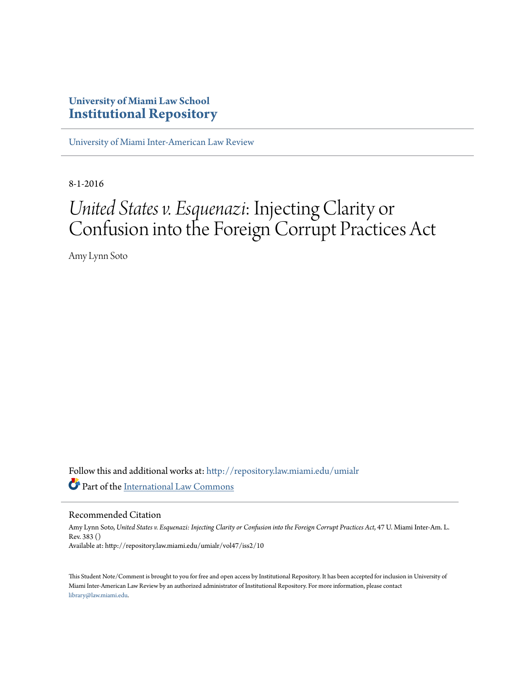## **University of Miami Law School [Institutional Repository](http://repository.law.miami.edu?utm_source=repository.law.miami.edu%2Fumialr%2Fvol47%2Fiss2%2F10&utm_medium=PDF&utm_campaign=PDFCoverPages)**

[University of Miami Inter-American Law Review](http://repository.law.miami.edu/umialr?utm_source=repository.law.miami.edu%2Fumialr%2Fvol47%2Fiss2%2F10&utm_medium=PDF&utm_campaign=PDFCoverPages)

8-1-2016

# *United States v. Esquenazi*: Injecting Clarity or Confusion into the Foreign Corrupt Practices Act

Amy Lynn Soto

Follow this and additional works at: [http://repository.law.miami.edu/umialr](http://repository.law.miami.edu/umialr?utm_source=repository.law.miami.edu%2Fumialr%2Fvol47%2Fiss2%2F10&utm_medium=PDF&utm_campaign=PDFCoverPages) Part of the [International Law Commons](http://network.bepress.com/hgg/discipline/609?utm_source=repository.law.miami.edu%2Fumialr%2Fvol47%2Fiss2%2F10&utm_medium=PDF&utm_campaign=PDFCoverPages)

#### Recommended Citation

Amy Lynn Soto, *United States v. Esquenazi: Injecting Clarity or Confusion into the Foreign Corrupt Practices Act*, 47 U. Miami Inter-Am. L. Rev. 383 () Available at: http://repository.law.miami.edu/umialr/vol47/iss2/10

This Student Note/Comment is brought to you for free and open access by Institutional Repository. It has been accepted for inclusion in University of Miami Inter-American Law Review by an authorized administrator of Institutional Repository. For more information, please contact [library@law.miami.edu](mailto:library@law.miami.edu).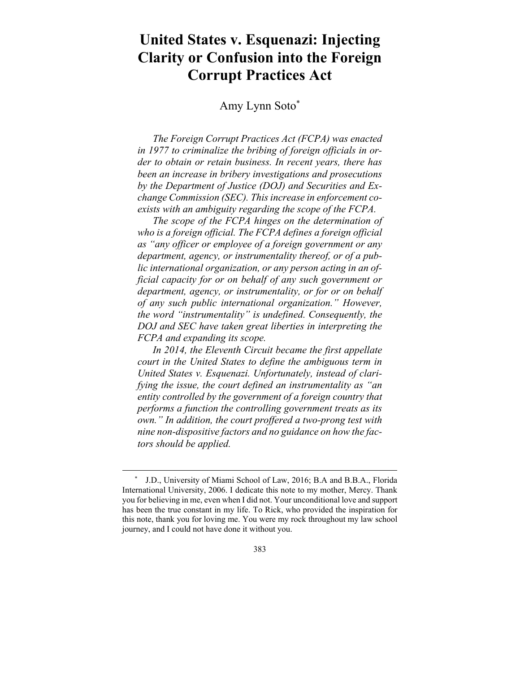## **United States v. Esquenazi: Injecting Clarity or Confusion into the Foreign Corrupt Practices Act**

### Amy Lynn Soto\*

*The Foreign Corrupt Practices Act (FCPA) was enacted in 1977 to criminalize the bribing of foreign officials in order to obtain or retain business. In recent years, there has been an increase in bribery investigations and prosecutions by the Department of Justice (DOJ) and Securities and Exchange Commission (SEC). This increase in enforcement coexists with an ambiguity regarding the scope of the FCPA.* 

*The scope of the FCPA hinges on the determination of who is a foreign official. The FCPA defines a foreign official as "any officer or employee of a foreign government or any department, agency, or instrumentality thereof, or of a public international organization, or any person acting in an official capacity for or on behalf of any such government or department, agency, or instrumentality, or for or on behalf of any such public international organization." However, the word "instrumentality" is undefined. Consequently, the DOJ and SEC have taken great liberties in interpreting the FCPA and expanding its scope.* 

*In 2014, the Eleventh Circuit became the first appellate court in the United States to define the ambiguous term in United States v. Esquenazi. Unfortunately, instead of clarifying the issue, the court defined an instrumentality as "an entity controlled by the government of a foreign country that performs a function the controlling government treats as its own." In addition, the court proffered a two-prong test with nine non-dispositive factors and no guidance on how the factors should be applied.*

J.D., University of Miami School of Law, 2016; B.A and B.B.A., Florida International University, 2006. I dedicate this note to my mother, Mercy. Thank you for believing in me, even when I did not. Your unconditional love and support has been the true constant in my life. To Rick, who provided the inspiration for this note, thank you for loving me. You were my rock throughout my law school journey, and I could not have done it without you.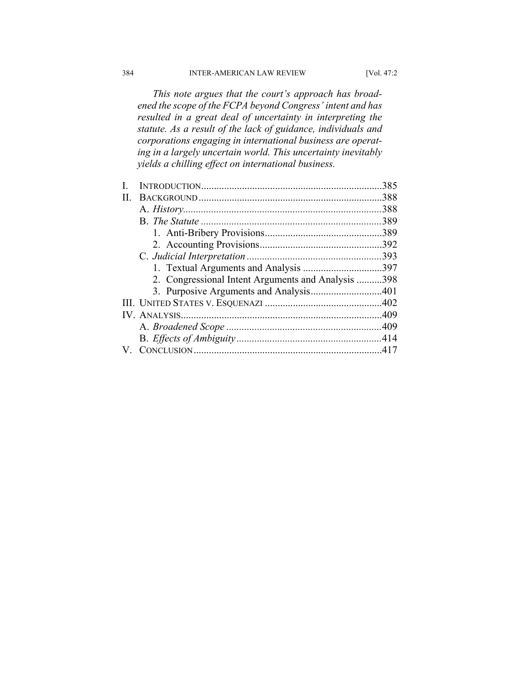*This note argues that the court's approach has broadened the scope of the FCPA beyond Congress' intent and has resulted in a great deal of uncertainty in interpreting the statute. As a result of the lack of guidance, individuals and corporations engaging in international business are operating in a largely uncertain world. This uncertainty inevitably yields a chilling effect on international business.* 

|    |                                                    | 385  |
|----|----------------------------------------------------|------|
| Н. |                                                    | .388 |
|    |                                                    | .388 |
|    |                                                    |      |
|    |                                                    | .389 |
|    |                                                    | .392 |
|    |                                                    |      |
|    |                                                    |      |
|    | 2. Congressional Intent Arguments and Analysis 398 |      |
|    |                                                    |      |
|    |                                                    |      |
|    |                                                    |      |
|    |                                                    |      |
|    |                                                    |      |
|    |                                                    |      |
|    |                                                    |      |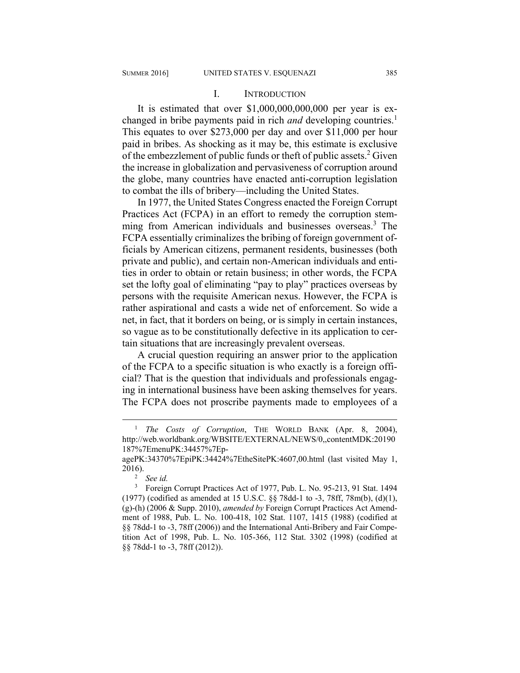#### I. INTRODUCTION

It is estimated that over \$1,000,000,000,000 per year is exchanged in bribe payments paid in rich *and* developing countries.<sup>1</sup> This equates to over \$273,000 per day and over \$11,000 per hour paid in bribes. As shocking as it may be, this estimate is exclusive of the embezzlement of public funds or theft of public assets.<sup>2</sup> Given the increase in globalization and pervasiveness of corruption around the globe, many countries have enacted anti-corruption legislation to combat the ills of bribery—including the United States.

In 1977, the United States Congress enacted the Foreign Corrupt Practices Act (FCPA) in an effort to remedy the corruption stemming from American individuals and businesses overseas.<sup>3</sup> The FCPA essentially criminalizes the bribing of foreign government officials by American citizens, permanent residents, businesses (both private and public), and certain non-American individuals and entities in order to obtain or retain business; in other words, the FCPA set the lofty goal of eliminating "pay to play" practices overseas by persons with the requisite American nexus. However, the FCPA is rather aspirational and casts a wide net of enforcement. So wide a net, in fact, that it borders on being, or is simply in certain instances, so vague as to be constitutionally defective in its application to certain situations that are increasingly prevalent overseas.

A crucial question requiring an answer prior to the application of the FCPA to a specific situation is who exactly is a foreign official? That is the question that individuals and professionals engaging in international business have been asking themselves for years. The FCPA does not proscribe payments made to employees of a

 $\frac{1}{1}$  *The Costs of Corruption*, THE WORLD BANK (Apr. 8, 2004), http://web.worldbank.org/WBSITE/EXTERNAL/NEWS/0,,contentMDK:20190 187%7EmenuPK:34457%7Ep-

agePK:34370%7EpiPK:34424%7EtheSitePK:4607,00.html (last visited May 1, 2016). 2

*See id.*

<sup>&</sup>lt;sup>3</sup> Foreign Corrupt Practices Act of 1977, Pub. L. No. 95-213, 91 Stat. 1494 (1977) (codified as amended at 15 U.S.C. §§ 78dd-1 to -3, 78ff, 78m(b), (d)(1), (g)-(h) (2006 & Supp. 2010), *amended by* Foreign Corrupt Practices Act Amendment of 1988, Pub. L. No. 100-418, 102 Stat. 1107, 1415 (1988) (codified at §§ 78dd-1 to -3, 78ff (2006)) and the International Anti-Bribery and Fair Competition Act of 1998, Pub. L. No. 105-366, 112 Stat. 3302 (1998) (codified at §§ 78dd-1 to -3, 78ff (2012)).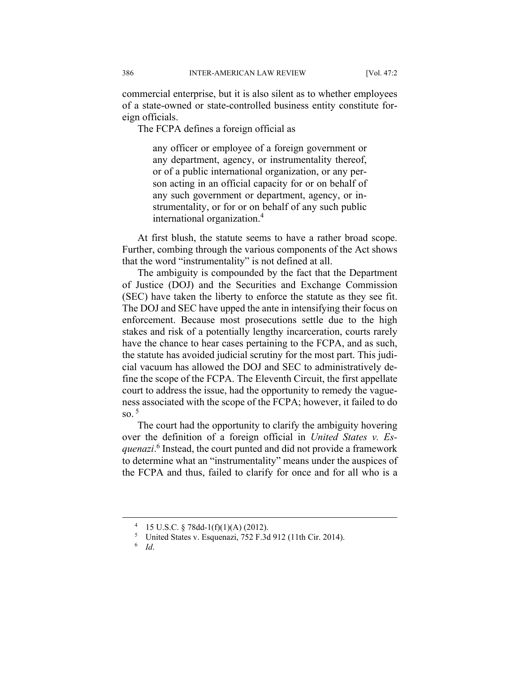commercial enterprise, but it is also silent as to whether employees of a state-owned or state-controlled business entity constitute foreign officials.

The FCPA defines a foreign official as

any officer or employee of a foreign government or any department, agency, or instrumentality thereof, or of a public international organization, or any person acting in an official capacity for or on behalf of any such government or department, agency, or instrumentality, or for or on behalf of any such public international organization.<sup>4</sup>

At first blush, the statute seems to have a rather broad scope. Further, combing through the various components of the Act shows that the word "instrumentality" is not defined at all.

The ambiguity is compounded by the fact that the Department of Justice (DOJ) and the Securities and Exchange Commission (SEC) have taken the liberty to enforce the statute as they see fit. The DOJ and SEC have upped the ante in intensifying their focus on enforcement. Because most prosecutions settle due to the high stakes and risk of a potentially lengthy incarceration, courts rarely have the chance to hear cases pertaining to the FCPA, and as such, the statute has avoided judicial scrutiny for the most part. This judicial vacuum has allowed the DOJ and SEC to administratively define the scope of the FCPA. The Eleventh Circuit, the first appellate court to address the issue, had the opportunity to remedy the vagueness associated with the scope of the FCPA; however, it failed to do so  $5$ 

The court had the opportunity to clarify the ambiguity hovering over the definition of a foreign official in *United States v. Esquenazi*. 6 Instead, the court punted and did not provide a framework to determine what an "instrumentality" means under the auspices of the FCPA and thus, failed to clarify for once and for all who is a

 <sup>4</sup> 15 U.S.C. § 78dd-1(f)(1)(A) (2012).

<sup>5</sup> United States v. Esquenazi, 752 F.3d 912 (11th Cir. 2014).

<sup>6</sup>  *Id*.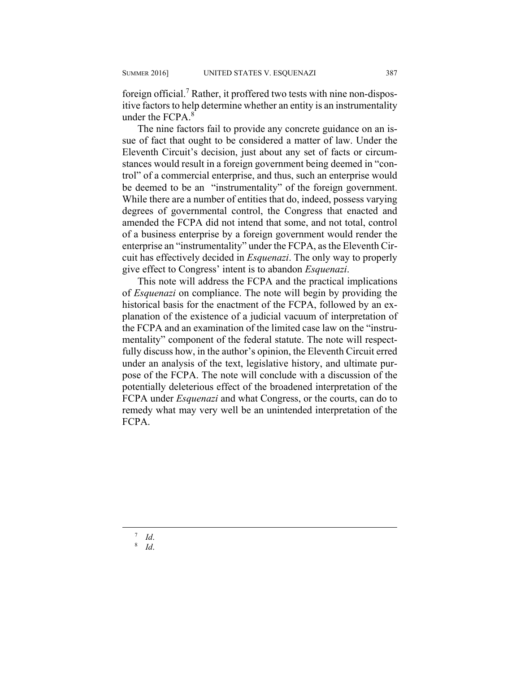foreign official.<sup>7</sup> Rather, it proffered two tests with nine non-dispositive factors to help determine whether an entity is an instrumentality under the FCPA.<sup>8</sup>

The nine factors fail to provide any concrete guidance on an issue of fact that ought to be considered a matter of law. Under the Eleventh Circuit's decision, just about any set of facts or circumstances would result in a foreign government being deemed in "control" of a commercial enterprise, and thus, such an enterprise would be deemed to be an "instrumentality" of the foreign government. While there are a number of entities that do, indeed, possess varying degrees of governmental control, the Congress that enacted and amended the FCPA did not intend that some, and not total, control of a business enterprise by a foreign government would render the enterprise an "instrumentality" under the FCPA, as the Eleventh Circuit has effectively decided in *Esquenazi*. The only way to properly give effect to Congress' intent is to abandon *Esquenazi*.

This note will address the FCPA and the practical implications of *Esquenazi* on compliance. The note will begin by providing the historical basis for the enactment of the FCPA, followed by an explanation of the existence of a judicial vacuum of interpretation of the FCPA and an examination of the limited case law on the "instrumentality" component of the federal statute. The note will respectfully discuss how, in the author's opinion, the Eleventh Circuit erred under an analysis of the text, legislative history, and ultimate purpose of the FCPA. The note will conclude with a discussion of the potentially deleterious effect of the broadened interpretation of the FCPA under *Esquenazi* and what Congress, or the courts, can do to remedy what may very well be an unintended interpretation of the FCPA.

 $7$  Id.

 *Id*. 8  *Id*.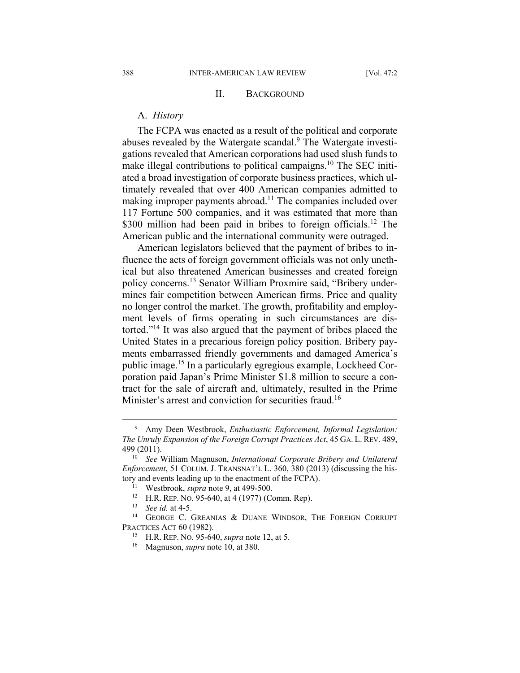#### II. BACKGROUND

#### A. *History*

The FCPA was enacted as a result of the political and corporate abuses revealed by the Watergate scandal.<sup>9</sup> The Watergate investigations revealed that American corporations had used slush funds to make illegal contributions to political campaigns.<sup>10</sup> The SEC initiated a broad investigation of corporate business practices, which ultimately revealed that over 400 American companies admitted to making improper payments abroad.<sup>11</sup> The companies included over 117 Fortune 500 companies, and it was estimated that more than \$300 million had been paid in bribes to foreign officials.<sup>12</sup> The American public and the international community were outraged.

American legislators believed that the payment of bribes to influence the acts of foreign government officials was not only unethical but also threatened American businesses and created foreign policy concerns.13 Senator William Proxmire said, "Bribery undermines fair competition between American firms. Price and quality no longer control the market. The growth, profitability and employment levels of firms operating in such circumstances are distorted."14 It was also argued that the payment of bribes placed the United States in a precarious foreign policy position. Bribery payments embarrassed friendly governments and damaged America's public image.15 In a particularly egregious example, Lockheed Corporation paid Japan's Prime Minister \$1.8 million to secure a contract for the sale of aircraft and, ultimately, resulted in the Prime Minister's arrest and conviction for securities fraud.<sup>16</sup>

 $\overline{\phantom{0}}$  Amy Deen Westbrook, *Enthusiastic Enforcement, Informal Legislation: The Unruly Expansion of the Foreign Corrupt Practices Act*, 45 GA. L. REV. 489, 499 (2011). 10 *See* William Magnuson, *International Corporate Bribery and Unilateral* 

*Enforcement*, 51 COLUM. J. TRANSNAT'L L. 360, 380 (2013) (discussing the history and events leading up to the enactment of the FCPA).<br>
<sup>11</sup> Westbrook, *supra* note 9, at 499-500.<br>
<sup>12</sup> H.R. REP. No. 95-640, at 4 (1977) (Comm. Rep).<br>
<sup>13</sup> *See id.* at 4-5.<br>
<sup>14</sup> GEORGE C. GREANIAS & DUANE WINDSOR,

PRACTICES ACT 60 (1982). 15 H.R. REP. NO. 95-640, *supra* note 12, at 5. 16 Magnuson, *supra* note 10, at 380.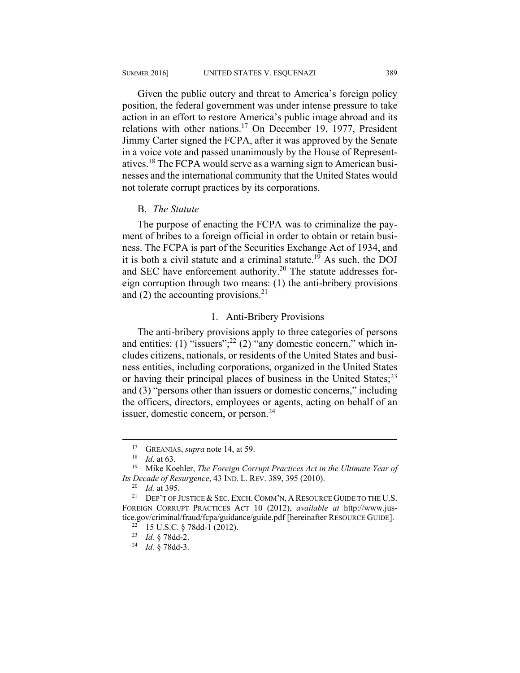Given the public outcry and threat to America's foreign policy position, the federal government was under intense pressure to take action in an effort to restore America's public image abroad and its relations with other nations.17 On December 19, 1977, President Jimmy Carter signed the FCPA, after it was approved by the Senate in a voice vote and passed unanimously by the House of Representatives.18 The FCPA would serve as a warning sign to American businesses and the international community that the United States would not tolerate corrupt practices by its corporations.

#### B. *The Statute*

The purpose of enacting the FCPA was to criminalize the payment of bribes to a foreign official in order to obtain or retain business. The FCPA is part of the Securities Exchange Act of 1934, and it is both a civil statute and a criminal statute.<sup>19</sup> As such, the DOJ and SEC have enforcement authority.20 The statute addresses foreign corruption through two means: (1) the anti-bribery provisions and (2) the accounting provisions. $2<sup>1</sup>$ 

#### 1. Anti-Bribery Provisions

The anti-bribery provisions apply to three categories of persons and entities: (1) "issuers";<sup>22</sup> (2)  $\frac{1}{2}$ " any domestic concern," which includes citizens, nationals, or residents of the United States and business entities, including corporations, organized in the United States or having their principal places of business in the United States;<sup>23</sup> and (3) "persons other than issuers or domestic concerns," including the officers, directors, employees or agents, acting on behalf of an issuer, domestic concern, or person.<sup>24</sup>

<sup>&</sup>lt;sup>17</sup> GREANIAS, *supra* note 14, at 59.<br><sup>18</sup> *Id*. at 63. <sup>19</sup> Mike Koehler, *The Foreign Corrupt Practices Act in the Ultimate Year of Its Decade of Resurgence*, 43 IND. L. REV. 389, 395 (2010).<br><sup>20</sup> *Id.* at 395. DEP'T OF JUSTICE & SEC. EXCH. COMM'N, A RESOURCE GUIDE TO THE U.S.

FOREIGN CORRUPT PRACTICES ACT 10 (2012), *available at* http://www.justice.gov/criminal/fraud/fcpa/guidance/guide.pdf [hereinafter RESOURCE GUIDE].<br><sup>22</sup> 15 U.S.C. § 78dd-1 (2012).

<sup>23</sup> *Id.* § 78dd-2. 24 *Id.* § 78dd-3.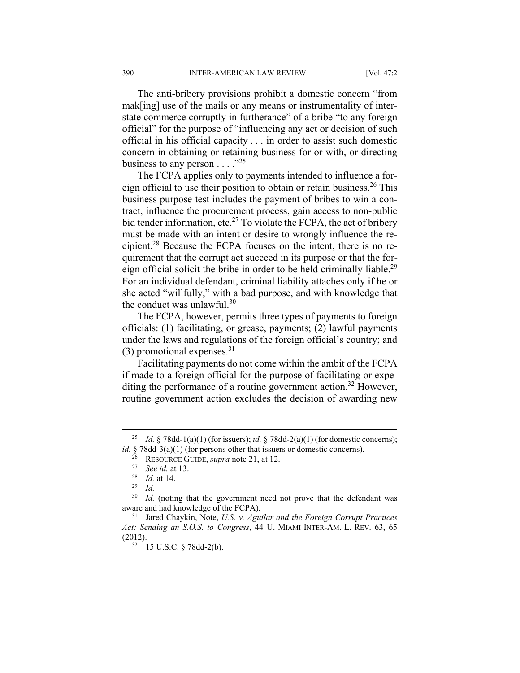The anti-bribery provisions prohibit a domestic concern "from mak[ing] use of the mails or any means or instrumentality of interstate commerce corruptly in furtherance" of a bribe "to any foreign official" for the purpose of "influencing any act or decision of such official in his official capacity . . . in order to assist such domestic concern in obtaining or retaining business for or with, or directing business to any person  $\dots$  .  $^{25}$ 

The FCPA applies only to payments intended to influence a foreign official to use their position to obtain or retain business.<sup>26</sup> This business purpose test includes the payment of bribes to win a contract, influence the procurement process, gain access to non-public bid tender information, etc.<sup>27</sup> To violate the FCPA, the act of bribery must be made with an intent or desire to wrongly influence the recipient.28 Because the FCPA focuses on the intent, there is no requirement that the corrupt act succeed in its purpose or that the foreign official solicit the bribe in order to be held criminally liable.<sup>29</sup> For an individual defendant, criminal liability attaches only if he or she acted "willfully," with a bad purpose, and with knowledge that the conduct was unlawful.<sup>30</sup>

The FCPA, however, permits three types of payments to foreign officials: (1) facilitating, or grease, payments; (2) lawful payments under the laws and regulations of the foreign official's country; and  $(3)$  promotional expenses.<sup>31</sup>

Facilitating payments do not come within the ambit of the FCPA if made to a foreign official for the purpose of facilitating or expediting the performance of a routine government action.<sup>32</sup> However, routine government action excludes the decision of awarding new

<sup>&</sup>lt;sup>25</sup> *Id.* § 78dd-1(a)(1) (for issuers); *id.* § 78dd-2(a)(1) (for domestic concerns); *id.* § 78dd-3(a)(1) (for persons other that issuers or domestic concerns).

<sup>26</sup> RESOURCE GUIDE, *supra* note 21, at 12.<br>
<sup>27</sup> *See id.* at 13.<br>
<sup>28</sup> *Id.* at 14.<br>
<sup>30</sup> *Id.* (noting that the government need)

Id. (noting that the government need not prove that the defendant was aware and had knowledge of the FCPA)*.*

<sup>31</sup> Jared Chaykin, Note, *U.S. v. Aguilar and the Foreign Corrupt Practices Act: Sending an S.O.S. to Congress*, 44 U. MIAMI INTER-AM. L. REV. 63, 65 (2012).  $32 \quad 15 \text{ U.S.C. }$  § 78dd-2(b).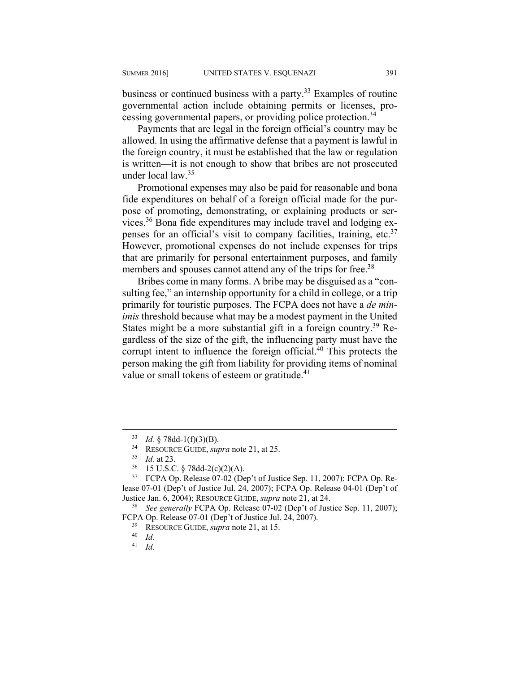business or continued business with a party.<sup>33</sup> Examples of routine governmental action include obtaining permits or licenses, processing governmental papers, or providing police protection.<sup>34</sup>

Payments that are legal in the foreign official's country may be allowed. In using the affirmative defense that a payment is lawful in the foreign country, it must be established that the law or regulation is written—it is not enough to show that bribes are not prosecuted under local law.35

Promotional expenses may also be paid for reasonable and bona fide expenditures on behalf of a foreign official made for the purpose of promoting, demonstrating, or explaining products or services.36 Bona fide expenditures may include travel and lodging expenses for an official's visit to company facilities, training, etc.<sup>37</sup> However, promotional expenses do not include expenses for trips that are primarily for personal entertainment purposes, and family members and spouses cannot attend any of the trips for free.<sup>38</sup>

Bribes come in many forms. A bribe may be disguised as a "consulting fee," an internship opportunity for a child in college, or a trip primarily for touristic purposes. The FCPA does not have a *de minimis* threshold because what may be a modest payment in the United States might be a more substantial gift in a foreign country.<sup>39</sup> Regardless of the size of the gift, the influencing party must have the corrupt intent to influence the foreign official.<sup>40</sup> This protects the person making the gift from liability for providing items of nominal value or small tokens of esteem or gratitude.<sup>41</sup>

<sup>33</sup> *Id.* § 78dd-1(f)(3)(B). 34 RESOURCE GUIDE, *supra* note 21, at 25. 35 *Id.* at 23. 36 15 U.S.C. § 78dd-2(c)(2)(A).

<sup>37</sup> FCPA Op. Release 07-02 (Dep't of Justice Sep. 11, 2007); FCPA Op. Release 07-01 (Dep't of Justice Jul. 24, 2007); FCPA Op. Release 04-01 (Dep't of Justice Jan. 6, 2004); RESOURCE GUIDE, *supra* note 21, at 24. 38 *See generally* FCPA Op. Release 07-02 (Dep't of Justice Sep. 11, 2007);

FCPA Op. Release 07-01 (Dep't of Justice Jul. 24, 2007). 39 RESOURCE GUIDE, *supra* note 21, at 15. 40 *Id.*

<sup>41</sup> *Id.*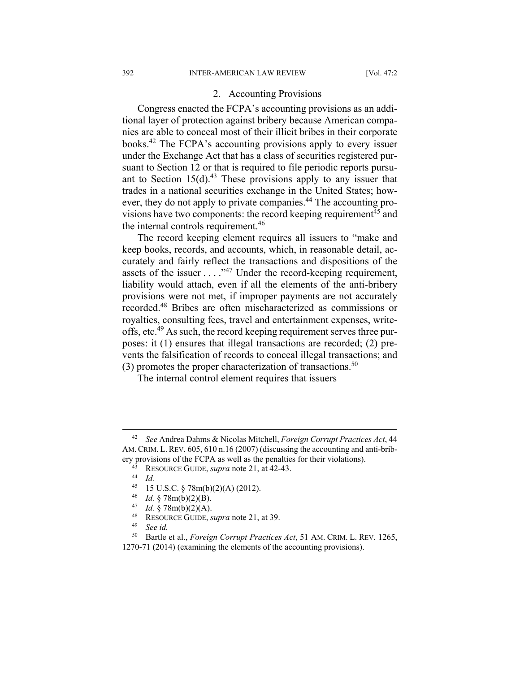#### 2. Accounting Provisions

Congress enacted the FCPA's accounting provisions as an additional layer of protection against bribery because American companies are able to conceal most of their illicit bribes in their corporate books.42 The FCPA's accounting provisions apply to every issuer under the Exchange Act that has a class of securities registered pursuant to Section 12 or that is required to file periodic reports pursuant to Section  $15(d)$ .<sup>43</sup> These provisions apply to any issuer that trades in a national securities exchange in the United States; however, they do not apply to private companies.<sup>44</sup> The accounting provisions have two components: the record keeping requirement<sup>45</sup> and the internal controls requirement.<sup>46</sup>

The record keeping element requires all issuers to "make and keep books, records, and accounts, which, in reasonable detail, accurately and fairly reflect the transactions and dispositions of the assets of the issuer . . . ."47 Under the record-keeping requirement, liability would attach, even if all the elements of the anti-bribery provisions were not met, if improper payments are not accurately recorded.48 Bribes are often mischaracterized as commissions or royalties, consulting fees, travel and entertainment expenses, writeoffs, etc.49 As such, the record keeping requirement serves three purposes: it (1) ensures that illegal transactions are recorded; (2) prevents the falsification of records to conceal illegal transactions; and  $(3)$  promotes the proper characterization of transactions.<sup>50</sup>

The internal control element requires that issuers

<sup>46</sup> *Id.* § 78m(b)(2)(B). 47 *Id.* § 78m(b)(2)(A). 48 RESOURCE GUIDE, *supra* note 21, at 39. 49 *See id.*

 <sup>42</sup> *See* Andrea Dahms & Nicolas Mitchell, *Foreign Corrupt Practices Act*, 44 AM. CRIM. L. REV. 605, 610 n.16 (2007) (discussing the accounting and anti-bribery provisions of the FCPA as well as the penalties for their violations). 43 RESOURCE GUIDE, *supra* note 21, at 42-43. 44 *Id.*

<sup>&</sup>lt;sup>45</sup> 15 U.S.C. § 78m(b)(2)(A) (2012).<br><sup>46</sup> *Id* 8.78m(b)(2)(B)

<sup>50</sup> Bartle et al., *Foreign Corrupt Practices Act*, 51 AM. CRIM. L. REV. 1265, 1270-71 (2014) (examining the elements of the accounting provisions).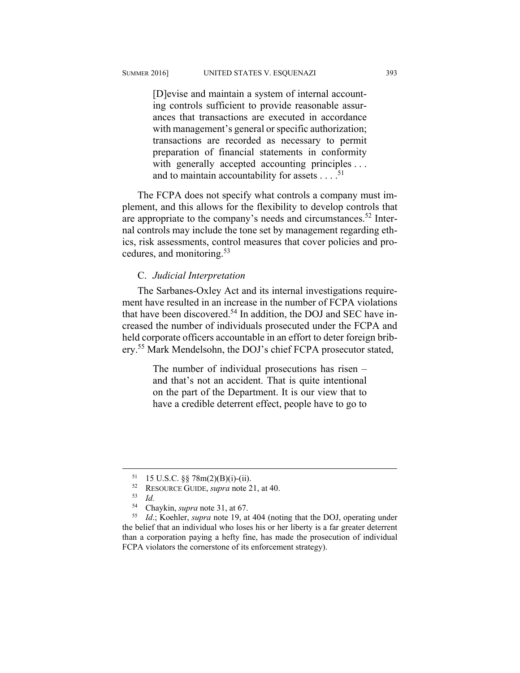[D]evise and maintain a system of internal accounting controls sufficient to provide reasonable assurances that transactions are executed in accordance with management's general or specific authorization; transactions are recorded as necessary to permit preparation of financial statements in conformity with generally accepted accounting principles ... and to maintain accountability for assets  $\dots$ <sup>51</sup>

The FCPA does not specify what controls a company must implement, and this allows for the flexibility to develop controls that are appropriate to the company's needs and circumstances.<sup>52</sup> Internal controls may include the tone set by management regarding ethics, risk assessments, control measures that cover policies and procedures, and monitoring.53

#### C. *Judicial Interpretation*

The Sarbanes-Oxley Act and its internal investigations requirement have resulted in an increase in the number of FCPA violations that have been discovered.<sup>54</sup> In addition, the DOJ and SEC have increased the number of individuals prosecuted under the FCPA and held corporate officers accountable in an effort to deter foreign bribery.55 Mark Mendelsohn, the DOJ's chief FCPA prosecutor stated,

> The number of individual prosecutions has risen – and that's not an accident. That is quite intentional on the part of the Department. It is our view that to have a credible deterrent effect, people have to go to

 <sup>51 15</sup> U.S.C. §§ 78m(2)(B)(i)-(ii).

<sup>52</sup> RESOURCE GUIDE, *supra* note 21, at 40. 53 *Id.*

<sup>54</sup> Chaykin, *supra* note 31, at 67. 55 *Id*.; Koehler, *supra* note 19, at 404 (noting that the DOJ, operating under the belief that an individual who loses his or her liberty is a far greater deterrent than a corporation paying a hefty fine, has made the prosecution of individual FCPA violators the cornerstone of its enforcement strategy).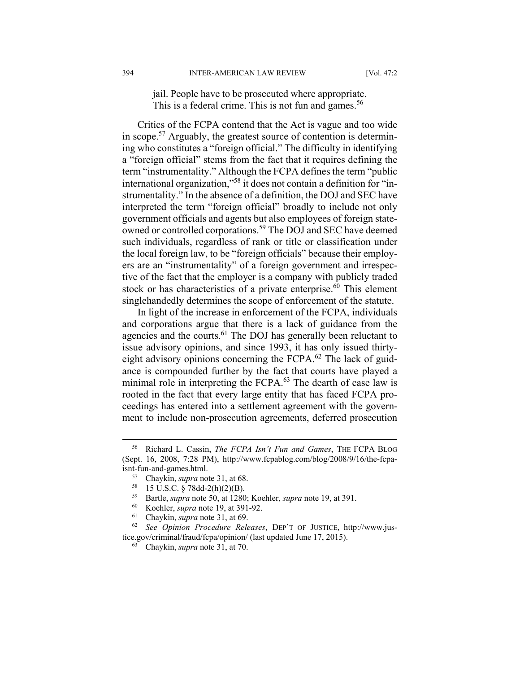jail. People have to be prosecuted where appropriate. This is a federal crime. This is not fun and games.<sup>56</sup>

Critics of the FCPA contend that the Act is vague and too wide in scope.<sup>57</sup> Arguably, the greatest source of contention is determining who constitutes a "foreign official." The difficulty in identifying a "foreign official" stems from the fact that it requires defining the term "instrumentality." Although the FCPA defines the term "public international organization,"58 it does not contain a definition for "instrumentality." In the absence of a definition, the DOJ and SEC have interpreted the term "foreign official" broadly to include not only government officials and agents but also employees of foreign stateowned or controlled corporations.<sup>59</sup> The DOJ and SEC have deemed such individuals, regardless of rank or title or classification under the local foreign law, to be "foreign officials" because their employers are an "instrumentality" of a foreign government and irrespective of the fact that the employer is a company with publicly traded stock or has characteristics of a private enterprise.<sup>60</sup> This element singlehandedly determines the scope of enforcement of the statute.

In light of the increase in enforcement of the FCPA, individuals and corporations argue that there is a lack of guidance from the agencies and the courts.<sup>61</sup> The DOJ has generally been reluctant to issue advisory opinions, and since 1993, it has only issued thirtyeight advisory opinions concerning the FCPA.<sup>62</sup> The lack of guidance is compounded further by the fact that courts have played a minimal role in interpreting the FCPA.<sup>63</sup> The dearth of case law is rooted in the fact that every large entity that has faced FCPA proceedings has entered into a settlement agreement with the government to include non-prosecution agreements, deferred prosecution

 <sup>56</sup> Richard L. Cassin, *The FCPA Isn't Fun and Games*, THE FCPA BLOG (Sept. 16, 2008, 7:28 PM), http://www.fcpablog.com/blog/2008/9/16/the-fcpaisnt-fun-and-games.html.<br><sup>57</sup> Chaykin, *supra* note 31, at 68.<br><sup>58</sup> 15 U.S.C. § 78dd-2(h)(2)(B).<br><sup>59</sup> Bortle supra pote 50, at 1280:

<sup>&</sup>lt;sup>59</sup> Bartle, *supra* note 50, at 1280; Koehler, *supra* note 19, at 391.<br>
<sup>60</sup> Koehler, *supra* note 19, at 391-92.<br>
<sup>61</sup> Chaykin, *supra* note 31, at 69.<br>
<sup>62</sup> See Opinion Procedure Releases, DEP'T OF JUSTICE, http://www tice.gov/criminal/fraud/fcpa/opinion/ (last updated June 17, 2015). 63 Chaykin, *supra* note 31, at 70.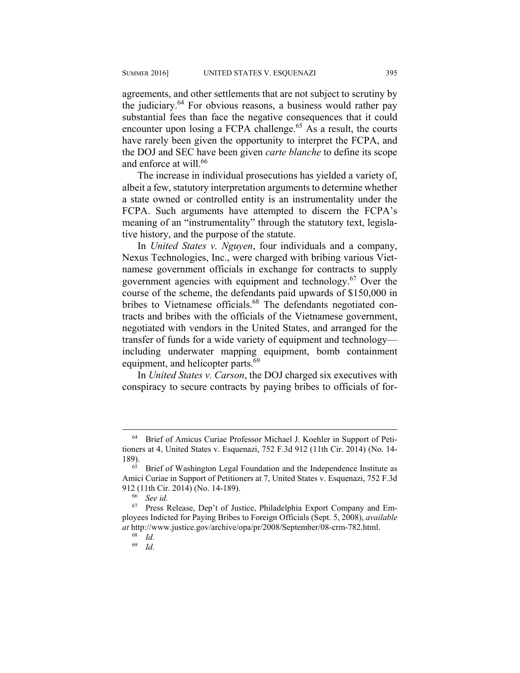agreements, and other settlements that are not subject to scrutiny by the judiciary.64 For obvious reasons, a business would rather pay substantial fees than face the negative consequences that it could encounter upon losing a FCPA challenge.<sup> $65$ </sup> As a result, the courts have rarely been given the opportunity to interpret the FCPA, and the DOJ and SEC have been given *carte blanche* to define its scope and enforce at will.<sup>66</sup>

The increase in individual prosecutions has yielded a variety of, albeit a few, statutory interpretation arguments to determine whether a state owned or controlled entity is an instrumentality under the FCPA. Such arguments have attempted to discern the FCPA's meaning of an "instrumentality" through the statutory text, legislative history, and the purpose of the statute.

In *United States v. Nguyen*, four individuals and a company, Nexus Technologies, Inc., were charged with bribing various Vietnamese government officials in exchange for contracts to supply government agencies with equipment and technology.67 Over the course of the scheme, the defendants paid upwards of \$150,000 in bribes to Vietnamese officials.<sup>68</sup> The defendants negotiated contracts and bribes with the officials of the Vietnamese government, negotiated with vendors in the United States, and arranged for the transfer of funds for a wide variety of equipment and technology including underwater mapping equipment, bomb containment equipment, and helicopter parts.<sup>69</sup>

In *United States v. Carson*, the DOJ charged six executives with conspiracy to secure contracts by paying bribes to officials of for-

 <sup>64</sup> Brief of Amicus Curiae Professor Michael J. Koehler in Support of Petitioners at 4, United States v. Esquenazi, 752 F.3d 912 (11th Cir. 2014) (No. 14- 189). 65 Brief of Washington Legal Foundation and the Independence Institute as

Amici Curiae in Support of Petitioners at 7, United States v. Esquenazi, 752 F.3d 912 (11th Cir. 2014) (No. 14-189). 66 *See id.*

<sup>67</sup> Press Release, Dep't of Justice, Philadelphia Export Company and Employees Indicted for Paying Bribes to Foreign Officials (Sept. 5, 2008), *available at* http://www.justice.gov/archive/opa/pr/2008/September/08-crm-782.html.

<sup>68</sup> *Id.*

<sup>69</sup> *Id.*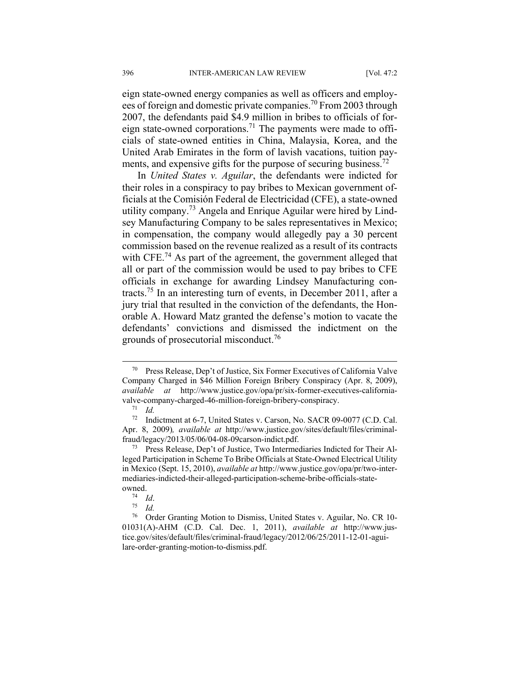eign state-owned energy companies as well as officers and employees of foreign and domestic private companies.70 From 2003 through 2007, the defendants paid \$4.9 million in bribes to officials of foreign state-owned corporations.71 The payments were made to officials of state-owned entities in China, Malaysia, Korea, and the United Arab Emirates in the form of lavish vacations, tuition payments, and expensive gifts for the purpose of securing business.<sup>72</sup>

In *United States v. Aguilar*, the defendants were indicted for their roles in a conspiracy to pay bribes to Mexican government officials at the Comisión Federal de Electricidad (CFE), a state-owned utility company.73 Angela and Enrique Aguilar were hired by Lindsey Manufacturing Company to be sales representatives in Mexico; in compensation, the company would allegedly pay a 30 percent commission based on the revenue realized as a result of its contracts with CFE.<sup>74</sup> As part of the agreement, the government alleged that all or part of the commission would be used to pay bribes to CFE officials in exchange for awarding Lindsey Manufacturing contracts.75 In an interesting turn of events, in December 2011, after a jury trial that resulted in the conviction of the defendants, the Honorable A. Howard Matz granted the defense's motion to vacate the defendants' convictions and dismissed the indictment on the grounds of prosecutorial misconduct.<sup>76</sup>

 <sup>70</sup> Press Release, Dep't of Justice, Six Former Executives of California Valve Company Charged in \$46 Million Foreign Bribery Conspiracy (Apr. 8, 2009), *available at* http://www.justice.gov/opa/pr/six-former-executives-californiavalve-company-charged-46-million-foreign-bribery-conspiracy. 71 *Id.*

<sup>72</sup> Indictment at 6-7, United States v. Carson, No. SACR 09-0077 (C.D. Cal. Apr. 8, 2009)*, available at* http://www.justice.gov/sites/default/files/criminal-

fraud/legacy/2013/05/06/04-08-09carson-indict.pdf. 73 Press Release, Dep't of Justice, Two Intermediaries Indicted for Their Alleged Participation in Scheme To Bribe Officials at State-Owned Electrical Utility in Mexico (Sept. 15, 2010), *available at* http://www.justice.gov/opa/pr/two-intermediaries-indicted-their-alleged-participation-scheme-bribe-officials-state-

owned. 74 *Id*. 75 *Id.*

<sup>76</sup> Order Granting Motion to Dismiss, United States v. Aguilar, No. CR 10- 01031(A)-AHM (C.D. Cal. Dec. 1, 2011), *available at* http://www.justice.gov/sites/default/files/criminal-fraud/legacy/2012/06/25/2011-12-01-aguilare-order-granting-motion-to-dismiss.pdf.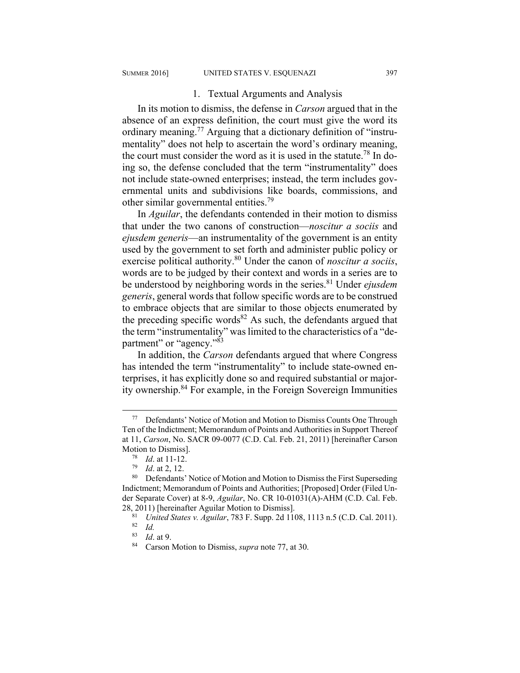#### 1. Textual Arguments and Analysis

In its motion to dismiss, the defense in *Carson* argued that in the absence of an express definition, the court must give the word its ordinary meaning.<sup>77</sup> Arguing that a dictionary definition of "instrumentality" does not help to ascertain the word's ordinary meaning, the court must consider the word as it is used in the statute.<sup>78</sup> In doing so, the defense concluded that the term "instrumentality" does not include state-owned enterprises; instead, the term includes governmental units and subdivisions like boards, commissions, and other similar governmental entities.79

In *Aguilar*, the defendants contended in their motion to dismiss that under the two canons of construction—*noscitur a sociis* and *ejusdem generis*—an instrumentality of the government is an entity used by the government to set forth and administer public policy or exercise political authority.80 Under the canon of *noscitur a sociis*, words are to be judged by their context and words in a series are to be understood by neighboring words in the series.81 Under *ejusdem generis*, general words that follow specific words are to be construed to embrace objects that are similar to those objects enumerated by the preceding specific words<sup>82</sup> As such, the defendants argued that the term "instrumentality" was limited to the characteristics of a "department" or "agency."<sup>83</sup>

In addition, the *Carson* defendants argued that where Congress has intended the term "instrumentality" to include state-owned enterprises, it has explicitly done so and required substantial or majority ownership.84 For example, in the Foreign Sovereign Immunities

 <sup>77</sup> Defendants' Notice of Motion and Motion to Dismiss Counts One Through Ten of the Indictment; Memorandum of Points and Authorities in Support Thereof at 11, *Carson*, No. SACR 09-0077 (C.D. Cal. Feb. 21, 2011) [hereinafter Carson Motion to Dismiss].<br><sup>78</sup> *Id.* at 11-12.<br><sup>79</sup> *Id.* at 2, 12.<br><sup>80</sup> Defendants' Notice of Motion and Motion to Dismiss the First Superseding

Indictment; Memorandum of Points and Authorities; [Proposed] Order (Filed Under Separate Cover) at 8-9, *Aguilar*, No. CR 10-01031(A)-AHM (C.D. Cal. Feb. 28, 2011) [hereinafter Aguilar Motion to Dismiss].<br><sup>81</sup> *United States v. Aguilar*, 783 F. Supp. 2d 1108, 1113 n.5 (C.D. Cal. 2011).<br><sup>82</sup> *Id.* 8<sup>3</sup> *Id.* at 9.

<sup>&</sup>lt;sup>84</sup> Carson Motion to Dismiss, *supra* note 77, at 30.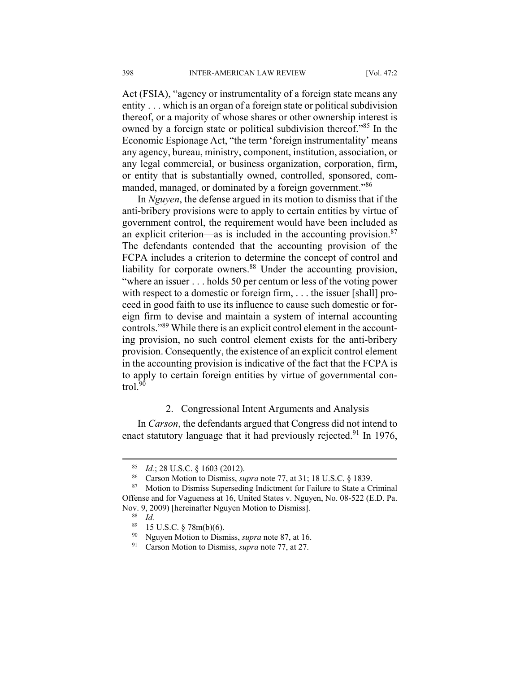Act (FSIA), "agency or instrumentality of a foreign state means any entity . . . which is an organ of a foreign state or political subdivision thereof, or a majority of whose shares or other ownership interest is owned by a foreign state or political subdivision thereof."85 In the Economic Espionage Act, "the term 'foreign instrumentality' means any agency, bureau, ministry, component, institution, association, or any legal commercial, or business organization, corporation, firm, or entity that is substantially owned, controlled, sponsored, commanded, managed, or dominated by a foreign government."<sup>86</sup>

In *Nguyen*, the defense argued in its motion to dismiss that if the anti-bribery provisions were to apply to certain entities by virtue of government control, the requirement would have been included as an explicit criterion—as is included in the accounting provision. $87$ The defendants contended that the accounting provision of the FCPA includes a criterion to determine the concept of control and liability for corporate owners.<sup>88</sup> Under the accounting provision, "where an issuer . . . holds 50 per centum or less of the voting power with respect to a domestic or foreign firm, ... the issuer [shall] proceed in good faith to use its influence to cause such domestic or foreign firm to devise and maintain a system of internal accounting controls."89 While there is an explicit control element in the accounting provision, no such control element exists for the anti-bribery provision. Consequently, the existence of an explicit control element in the accounting provision is indicative of the fact that the FCPA is to apply to certain foreign entities by virtue of governmental control. $90$ 

#### 2. Congressional Intent Arguments and Analysis

In *Carson*, the defendants argued that Congress did not intend to enact statutory language that it had previously rejected.<sup>91</sup> In 1976,

<sup>85</sup> *Id.*; 28 U.S.C. § 1603 (2012). 86 Carson Motion to Dismiss, *supra* note 77, at 31; 18 U.S.C. § 1839. 87 Motion to Dismiss Superseding Indictment for Failure to State a Criminal Offense and for Vagueness at 16, United States v. Nguyen, No. 08-522 (E.D. Pa. Nov. 9, 2009) [hereinafter Nguyen Motion to Dismiss].<br><sup>88</sup> *Id.*<br><sup>89</sup> 15 U.S.C. 8.78m(b)(6)

<sup>15</sup> U.S.C.  $\S$  78m(b)(6).

<sup>90</sup> Nguyen Motion to Dismiss, *supra* note 87, at 16. 91 Carson Motion to Dismiss, *supra* note 77, at 27.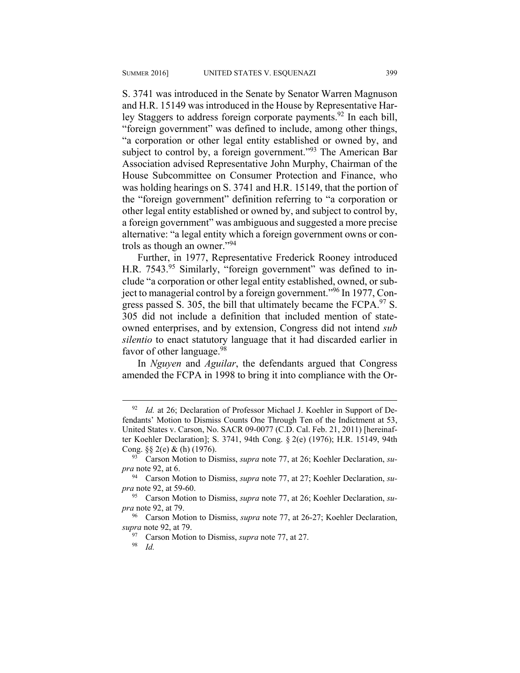S. 3741 was introduced in the Senate by Senator Warren Magnuson and H.R. 15149 was introduced in the House by Representative Harley Staggers to address foreign corporate payments.<sup>92</sup> In each bill, "foreign government" was defined to include, among other things, "a corporation or other legal entity established or owned by, and subject to control by, a foreign government."<sup>93</sup> The American Bar Association advised Representative John Murphy, Chairman of the House Subcommittee on Consumer Protection and Finance, who was holding hearings on S. 3741 and H.R. 15149, that the portion of the "foreign government" definition referring to "a corporation or other legal entity established or owned by, and subject to control by, a foreign government" was ambiguous and suggested a more precise alternative: "a legal entity which a foreign government owns or controls as though an owner."<sup>94</sup>

Further, in 1977, Representative Frederick Rooney introduced H.R. 7543.<sup>95</sup> Similarly, "foreign government" was defined to include "a corporation or other legal entity established, owned, or subject to managerial control by a foreign government."96 In 1977, Congress passed S. 305, the bill that ultimately became the  $FCPA.<sup>97</sup>$  S. 305 did not include a definition that included mention of stateowned enterprises, and by extension, Congress did not intend *sub silentio* to enact statutory language that it had discarded earlier in favor of other language.<sup>98</sup>

In *Nguyen* and *Aguilar*, the defendants argued that Congress amended the FCPA in 1998 to bring it into compliance with the Or-

<sup>&</sup>lt;sup>92</sup> *Id.* at 26; Declaration of Professor Michael J. Koehler in Support of Defendants' Motion to Dismiss Counts One Through Ten of the Indictment at 53, United States v. Carson, No. SACR 09-0077 (C.D. Cal. Feb. 21, 2011) [hereinafter Koehler Declaration]; S. 3741, 94th Cong. § 2(e) (1976); H.R. 15149, 94th Cong. §§ 2(e) & (h) (1976). 93 Carson Motion to Dismiss, *supra* note 77, at 26; Koehler Declaration, *su-*

*pra* note 92, at 6.

<sup>94</sup> Carson Motion to Dismiss, *supra* note 77, at 27; Koehler Declaration, *supra* note 92, at 59-60.

<sup>95</sup> Carson Motion to Dismiss, *supra* note 77, at 26; Koehler Declaration, *supra* note 92, at 79.

<sup>&</sup>lt;sup>96</sup> Carson Motion to Dismiss, *supra* note 77, at 26-27; Koehler Declaration, *supra* note 92, at 79.

<sup>&</sup>lt;sup>97</sup> Carson Motion to Dismiss, *supra* note 77, at 27.<br><sup>98</sup> *Id*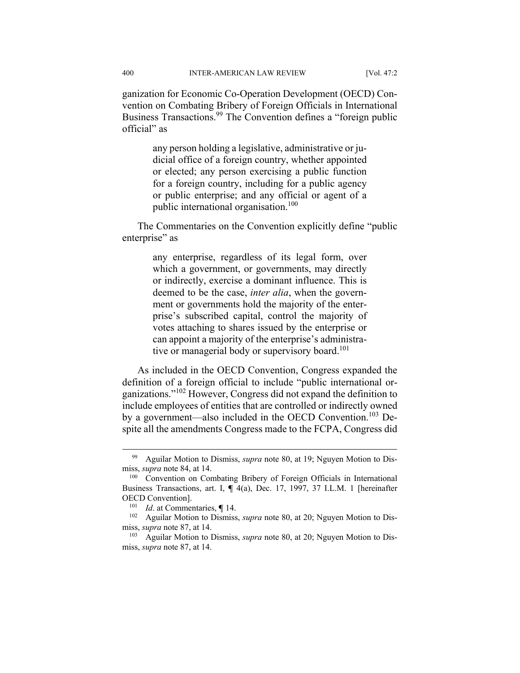ganization for Economic Co-Operation Development (OECD) Convention on Combating Bribery of Foreign Officials in International Business Transactions.<sup>99</sup> The Convention defines a "foreign public official" as

> any person holding a legislative, administrative or judicial office of a foreign country, whether appointed or elected; any person exercising a public function for a foreign country, including for a public agency or public enterprise; and any official or agent of a public international organisation.<sup>100</sup>

The Commentaries on the Convention explicitly define "public enterprise" as

> any enterprise, regardless of its legal form, over which a government, or governments, may directly or indirectly, exercise a dominant influence. This is deemed to be the case, *inter alia*, when the government or governments hold the majority of the enterprise's subscribed capital, control the majority of votes attaching to shares issued by the enterprise or can appoint a majority of the enterprise's administrative or managerial body or supervisory board.<sup>101</sup>

As included in the OECD Convention, Congress expanded the definition of a foreign official to include "public international organizations."102 However, Congress did not expand the definition to include employees of entities that are controlled or indirectly owned by a government—also included in the OECD Convention.<sup>103</sup> Despite all the amendments Congress made to the FCPA, Congress did

 <sup>99</sup> Aguilar Motion to Dismiss, *supra* note 80, at 19; Nguyen Motion to Dismiss, *supra* note 84, at 14.<br><sup>100</sup> Convention on Combating Bribery of Foreign Officials in International

Business Transactions, art. I, **¶** 4(a), Dec. 17, 1997, 37 I.L.M. 1 [hereinafter

OECD Convention].<br><sup>101</sup> *Id.* at Commentaries, **¶** 14.<br><sup>102</sup> Aguilar Motion to Dismiss, *supra* note 80, at 20; Nguyen Motion to Dismiss, *supra* note 87, at 14.<br><sup>103</sup> Aguilar Motion to Dismiss, *supra* note 80, at 20; Nguyen Motion to Dis-

miss, *supra* note 87, at 14.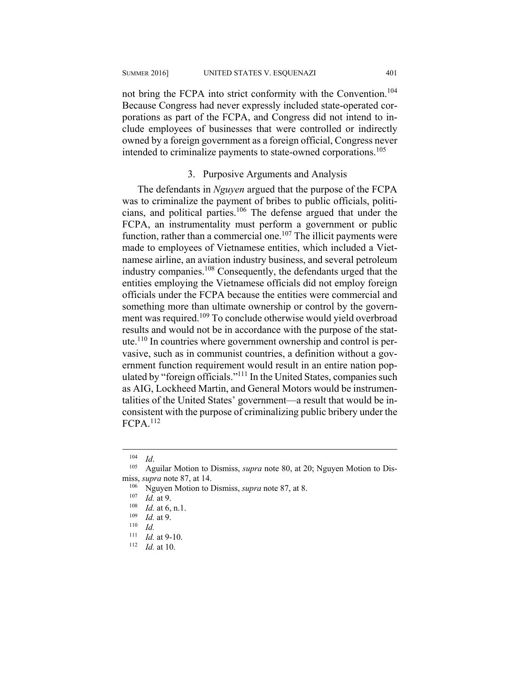not bring the FCPA into strict conformity with the Convention.<sup>104</sup> Because Congress had never expressly included state-operated corporations as part of the FCPA, and Congress did not intend to include employees of businesses that were controlled or indirectly owned by a foreign government as a foreign official, Congress never intended to criminalize payments to state-owned corporations.<sup>105</sup>

#### 3. Purposive Arguments and Analysis

The defendants in *Nguyen* argued that the purpose of the FCPA was to criminalize the payment of bribes to public officials, politicians, and political parties.<sup>106</sup> The defense argued that under the FCPA, an instrumentality must perform a government or public function, rather than a commercial one.<sup>107</sup> The illicit payments were made to employees of Vietnamese entities, which included a Vietnamese airline, an aviation industry business, and several petroleum industry companies.108 Consequently, the defendants urged that the entities employing the Vietnamese officials did not employ foreign officials under the FCPA because the entities were commercial and something more than ultimate ownership or control by the government was required.<sup>109</sup> To conclude otherwise would yield overbroad results and would not be in accordance with the purpose of the statute.110 In countries where government ownership and control is pervasive, such as in communist countries, a definition without a government function requirement would result in an entire nation populated by "foreign officials."111 In the United States, companies such as AIG, Lockheed Martin, and General Motors would be instrumentalities of the United States' government—a result that would be inconsistent with the purpose of criminalizing public bribery under the FCPA.<sup>112</sup>

<sup>&</sup>lt;sup>104</sup> *Id. Aguilar Motion to Dismiss, <i>supra* note 80, at 20; Nguyen Motion to Dismiss, *supra* note 87, at 14.<br>
<sup>106</sup> Nguyen Motion to Dismiss, *supra* note 87, at 8.<br>
<sup>107</sup> *Id.* at 9.<br>
<sup>108</sup> *Id.* at 9.<br>
<sup>109</sup> *Id.* at 9.<br>
<sup>110</sup> *Id.* 

<sup>111</sup> *Id.* at 9-10. 112 *Id.* at 10.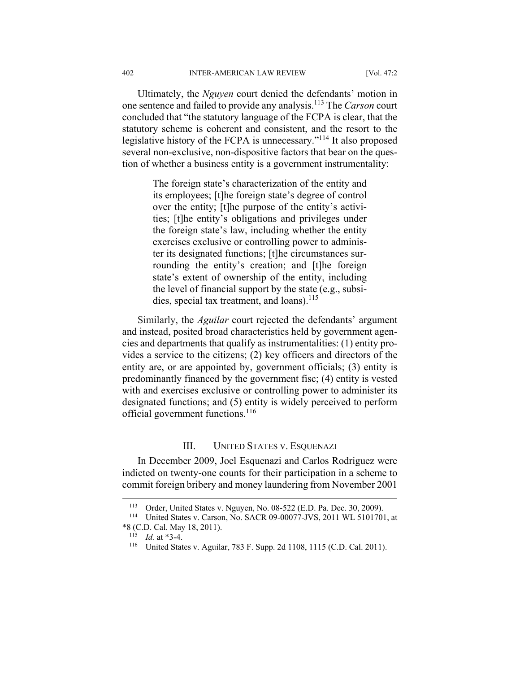Ultimately, the *Nguyen* court denied the defendants' motion in one sentence and failed to provide any analysis.113 The *Carson* court concluded that "the statutory language of the FCPA is clear, that the statutory scheme is coherent and consistent, and the resort to the legislative history of the FCPA is unnecessary."114 It also proposed several non-exclusive, non-dispositive factors that bear on the question of whether a business entity is a government instrumentality:

> The foreign state's characterization of the entity and its employees; [t]he foreign state's degree of control over the entity; [t]he purpose of the entity's activities; [t]he entity's obligations and privileges under the foreign state's law, including whether the entity exercises exclusive or controlling power to administer its designated functions; [t]he circumstances surrounding the entity's creation; and [t]he foreign state's extent of ownership of the entity, including the level of financial support by the state (e.g., subsidies, special tax treatment, and loans).<sup>115</sup>

Similarly, the *Aguilar* court rejected the defendants' argument and instead, posited broad characteristics held by government agencies and departments that qualify as instrumentalities: (1) entity provides a service to the citizens; (2) key officers and directors of the entity are, or are appointed by, government officials; (3) entity is predominantly financed by the government fisc; (4) entity is vested with and exercises exclusive or controlling power to administer its designated functions; and (5) entity is widely perceived to perform official government functions.<sup>116</sup>

#### III. UNITED STATES V. ESQUENAZI

In December 2009, Joel Esquenazi and Carlos Rodriguez were indicted on twenty-one counts for their participation in a scheme to commit foreign bribery and money laundering from November 2001

<sup>113</sup> Order, United States v. Nguyen, No. 08-522 (E.D. Pa. Dec. 30, 2009). 114 United States v. Carson, No. SACR 09-00077-JVS, 2011 WL 5101701, at \*8 (C.D. Cal. May 18, 2011). 115 *Id.* at \*3-4. 116 United States v. Aguilar, 783 F. Supp. 2d 1108, 1115 (C.D. Cal. 2011).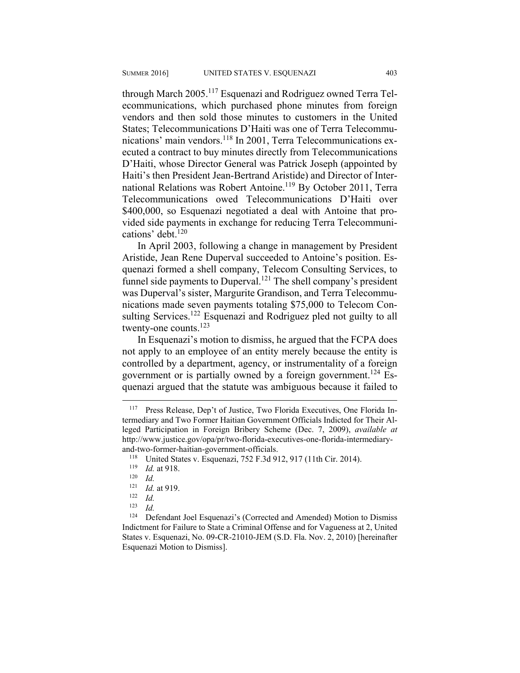through March 2005.117 Esquenazi and Rodriguez owned Terra Telecommunications, which purchased phone minutes from foreign vendors and then sold those minutes to customers in the United States; Telecommunications D'Haiti was one of Terra Telecommunications' main vendors.<sup>118</sup> In 2001, Terra Telecommunications executed a contract to buy minutes directly from Telecommunications D'Haiti, whose Director General was Patrick Joseph (appointed by Haiti's then President Jean-Bertrand Aristide) and Director of International Relations was Robert Antoine.<sup>119</sup> By October 2011, Terra Telecommunications owed Telecommunications D'Haiti over \$400,000, so Esquenazi negotiated a deal with Antoine that provided side payments in exchange for reducing Terra Telecommunications' debt.<sup>120</sup>

In April 2003, following a change in management by President Aristide, Jean Rene Duperval succeeded to Antoine's position. Esquenazi formed a shell company, Telecom Consulting Services, to funnel side payments to Duperval.<sup>121</sup> The shell company's president was Duperval's sister, Margurite Grandison, and Terra Telecommunications made seven payments totaling \$75,000 to Telecom Consulting Services.<sup>122</sup> Esquenazi and Rodriguez pled not guilty to all twenty-one counts.<sup>123</sup>

In Esquenazi's motion to dismiss, he argued that the FCPA does not apply to an employee of an entity merely because the entity is controlled by a department, agency, or instrumentality of a foreign government or is partially owned by a foreign government.<sup>124</sup> Esquenazi argued that the statute was ambiguous because it failed to

<sup>117</sup> Press Release, Dep't of Justice, Two Florida Executives, One Florida Intermediary and Two Former Haitian Government Officials Indicted for Their Alleged Participation in Foreign Bribery Scheme (Dec. 7, 2009), *available at* http://www.justice.gov/opa/pr/two-florida-executives-one-florida-intermediaryand-two-former-haitian-government-officials.<br><sup>118</sup> United States v. Esquenazi, 752 F.3d 912, 917 (11th Cir. 2014).<br><sup>119</sup> *Id.* at 918.<br><sup>120</sup> *Id.* at 919

<sup>121</sup> *Id.* at 919. 122 *Id.*

<sup>123</sup> *Id.*

<sup>&</sup>lt;sup>124</sup> Defendant Joel Esquenazi's (Corrected and Amended) Motion to Dismiss Indictment for Failure to State a Criminal Offense and for Vagueness at 2, United States v. Esquenazi, No. 09-CR-21010-JEM (S.D. Fla. Nov. 2, 2010) [hereinafter Esquenazi Motion to Dismiss].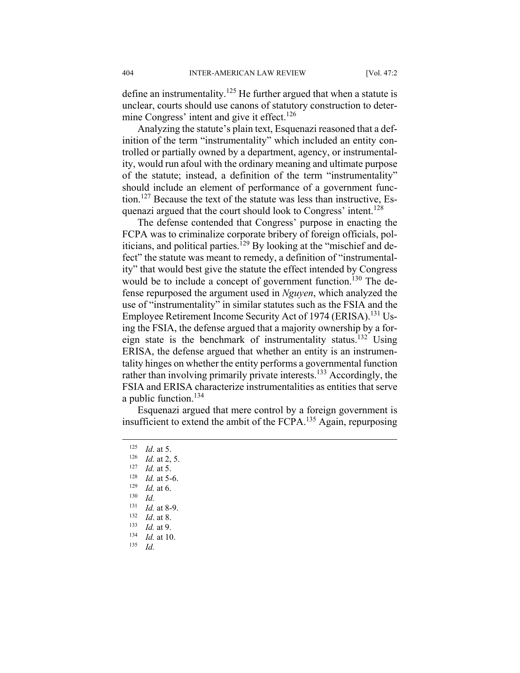define an instrumentality.<sup>125</sup> He further argued that when a statute is unclear, courts should use canons of statutory construction to determine Congress' intent and give it effect.<sup>126</sup>

Analyzing the statute's plain text, Esquenazi reasoned that a definition of the term "instrumentality" which included an entity controlled or partially owned by a department, agency, or instrumentality, would run afoul with the ordinary meaning and ultimate purpose of the statute; instead, a definition of the term "instrumentality" should include an element of performance of a government function.127 Because the text of the statute was less than instructive, Esquenazi argued that the court should look to Congress' intent.<sup>128</sup>

The defense contended that Congress' purpose in enacting the FCPA was to criminalize corporate bribery of foreign officials, politicians, and political parties.<sup>129</sup> By looking at the "mischief and defect" the statute was meant to remedy, a definition of "instrumentality" that would best give the statute the effect intended by Congress would be to include a concept of government function.<sup>130</sup> The defense repurposed the argument used in *Nguyen*, which analyzed the use of "instrumentality" in similar statutes such as the FSIA and the Employee Retirement Income Security Act of 1974 (ERISA).<sup>131</sup> Using the FSIA, the defense argued that a majority ownership by a foreign state is the benchmark of instrumentality status.<sup>132</sup> Using ERISA, the defense argued that whether an entity is an instrumentality hinges on whether the entity performs a governmental function rather than involving primarily private interests.<sup>133</sup> Accordingly, the FSIA and ERISA characterize instrumentalities as entities that serve a public function.<sup>134</sup>

Esquenazi argued that mere control by a foreign government is insufficient to extend the ambit of the FCPA.135 Again, repurposing

1

- <sup>131</sup> *Id.* at 8-9. 132 *Id*. at 8. 133 *Id.* at 9. 134 *Id.* at 10. 135 *Id.*
- 

<sup>125</sup> *Id.* at 5.<br>
126 *Id.* at 2, 5.<br>
127 *Id.* at 5.<br>
128 *Id.* at 5-6.<br>
129 *Id.* at 6.<br>
130 *Id*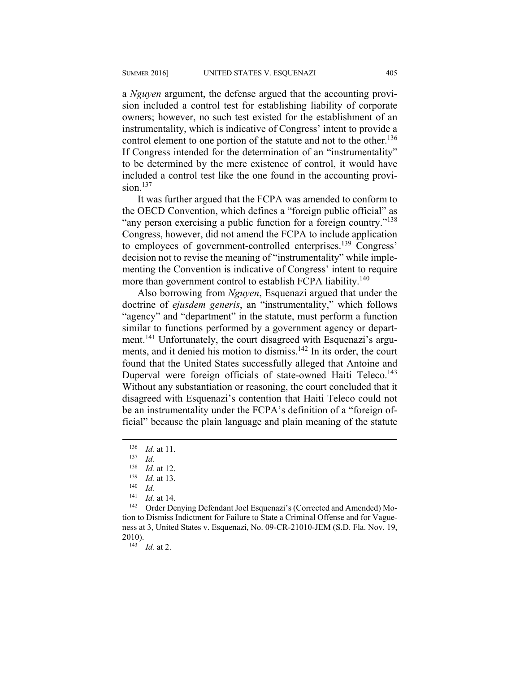a *Nguyen* argument, the defense argued that the accounting provision included a control test for establishing liability of corporate owners; however, no such test existed for the establishment of an instrumentality, which is indicative of Congress' intent to provide a control element to one portion of the statute and not to the other.<sup>136</sup> If Congress intended for the determination of an "instrumentality" to be determined by the mere existence of control, it would have included a control test like the one found in the accounting provision $137$ 

It was further argued that the FCPA was amended to conform to the OECD Convention, which defines a "foreign public official" as "any person exercising a public function for a foreign country."<sup>138</sup> Congress, however, did not amend the FCPA to include application to employees of government-controlled enterprises.<sup>139</sup> Congress' decision not to revise the meaning of "instrumentality" while implementing the Convention is indicative of Congress' intent to require more than government control to establish FCPA liability.<sup>140</sup>

Also borrowing from *Nguyen*, Esquenazi argued that under the doctrine of *ejusdem generis*, an "instrumentality," which follows "agency" and "department" in the statute, must perform a function similar to functions performed by a government agency or department.141 Unfortunately, the court disagreed with Esquenazi's arguments, and it denied his motion to dismiss.<sup>142</sup> In its order, the court found that the United States successfully alleged that Antoine and Duperval were foreign officials of state-owned Haiti Teleco.<sup>143</sup> Without any substantiation or reasoning, the court concluded that it disagreed with Esquenazi's contention that Haiti Teleco could not be an instrumentality under the FCPA's definition of a "foreign official" because the plain language and plain meaning of the statute

 $\overline{a}$ 

<sup>141</sup> *Id.* at 14.<br><sup>142</sup> Order Denying Defendant Joel Esquenazi's (Corrected and Amended) Motion to Dismiss Indictment for Failure to State a Criminal Offense and for Vagueness at 3, United States v. Esquenazi, No. 09-CR-21010-JEM (S.D. Fla. Nov. 19,

<sup>143</sup> *Id.* at 2.

<sup>136</sup> *Id.* at 11. 137 *Id.*

<sup>138</sup> *Id.* at 12.<br>
<sup>139</sup> *Id.* at 13.<br>
<sup>140</sup> *Id.*<br>
<sup>141</sup> *Id.* at 14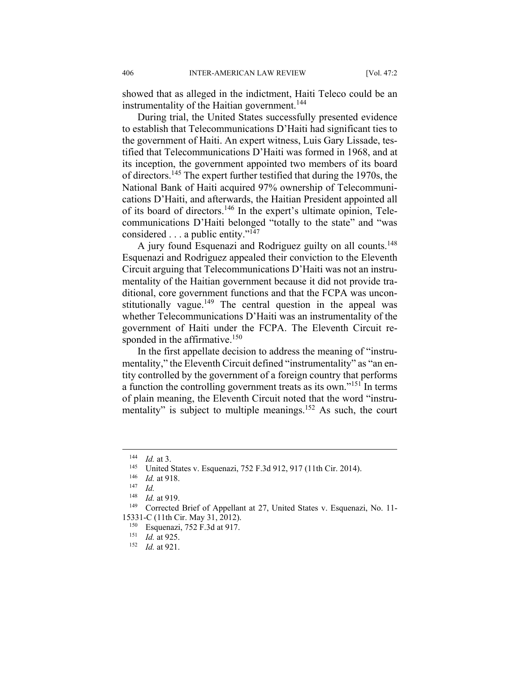showed that as alleged in the indictment, Haiti Teleco could be an instrumentality of the Haitian government.<sup>144</sup>

During trial, the United States successfully presented evidence to establish that Telecommunications D'Haiti had significant ties to the government of Haiti. An expert witness, Luis Gary Lissade, testified that Telecommunications D'Haiti was formed in 1968, and at its inception, the government appointed two members of its board of directors.145 The expert further testified that during the 1970s, the National Bank of Haiti acquired 97% ownership of Telecommunications D'Haiti, and afterwards, the Haitian President appointed all of its board of directors.<sup>146</sup> In the expert's ultimate opinion, Telecommunications D'Haiti belonged "totally to the state" and "was considered . . . a public entity."147

A jury found Esquenazi and Rodriguez guilty on all counts.<sup>148</sup> Esquenazi and Rodriguez appealed their conviction to the Eleventh Circuit arguing that Telecommunications D'Haiti was not an instrumentality of the Haitian government because it did not provide traditional, core government functions and that the FCPA was unconstitutionally vague.<sup>149</sup> The central question in the appeal was whether Telecommunications D'Haiti was an instrumentality of the government of Haiti under the FCPA. The Eleventh Circuit responded in the affirmative. $150$ 

In the first appellate decision to address the meaning of "instrumentality," the Eleventh Circuit defined "instrumentality" as "an entity controlled by the government of a foreign country that performs a function the controlling government treats as its own."151 In terms of plain meaning, the Eleventh Circuit noted that the word "instrumentality" is subject to multiple meanings.<sup>152</sup> As such, the court

<sup>144</sup> *Id.* at 3.<br>
<sup>145</sup> United States v. Esquenazi, 752 F.3d 912, 917 (11th Cir. 2014).<br>
<sup>146</sup> *Id.* at 918.<br>
<sup>147</sup> *Id.*<br>
<sup>148</sup> *Id.* at 919.

<sup>&</sup>lt;sup>148</sup> *Id.* at 919.<br><sup>149</sup> Corrected Brief of Appellant at 27, United States v. Esquenazi, No. 11-15331-C (11th Cir. May 31, 2012). 150 Esquenazi, 752 F.3d at 917. 151 *Id.* at 925. 152 *Id.* at 921.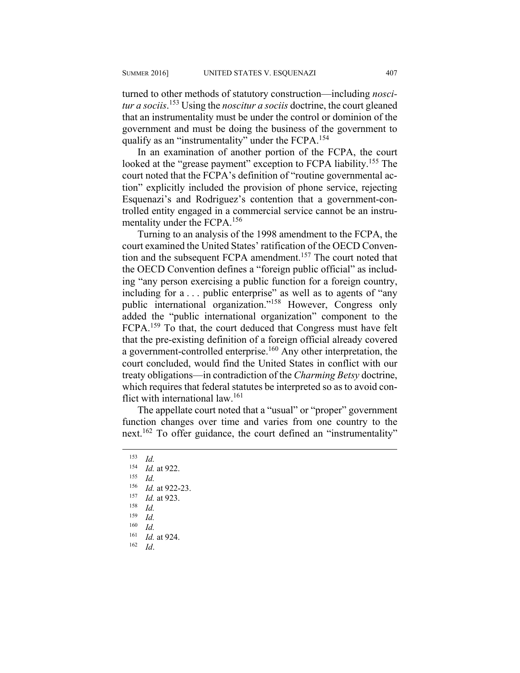turned to other methods of statutory construction—including *noscitur a sociis*. 153 Using the *noscitur a sociis* doctrine, the court gleaned that an instrumentality must be under the control or dominion of the government and must be doing the business of the government to qualify as an "instrumentality" under the FCPA.<sup>154</sup>

In an examination of another portion of the FCPA, the court looked at the "grease payment" exception to FCPA liability.<sup>155</sup> The court noted that the FCPA's definition of "routine governmental action" explicitly included the provision of phone service, rejecting Esquenazi's and Rodriguez's contention that a government-controlled entity engaged in a commercial service cannot be an instrumentality under the FCPA.156

Turning to an analysis of the 1998 amendment to the FCPA, the court examined the United States' ratification of the OECD Convention and the subsequent FCPA amendment.<sup>157</sup> The court noted that the OECD Convention defines a "foreign public official" as including "any person exercising a public function for a foreign country, including for a . . . public enterprise" as well as to agents of "any public international organization."158 However, Congress only added the "public international organization" component to the FCPA.159 To that, the court deduced that Congress must have felt that the pre-existing definition of a foreign official already covered a government-controlled enterprise.<sup>160</sup> Any other interpretation, the court concluded, would find the United States in conflict with our treaty obligations—in contradiction of the *Charming Betsy* doctrine, which requires that federal statutes be interpreted so as to avoid conflict with international law.161

The appellate court noted that a "usual" or "proper" government function changes over time and varies from one country to the next.162 To offer guidance, the court defined an "instrumentality"

 $\frac{153}{154}$  *Id.* <sup>154</sup> *Id.* at 922. 155 *Id.* <sup>156</sup> *Id.* at 922-23. 157 *Id.* at 923. 158 *Id.*  $\frac{159}{160}$  *Id. Id.* <sup>161</sup> *Id.* at 924. 162 *Id*.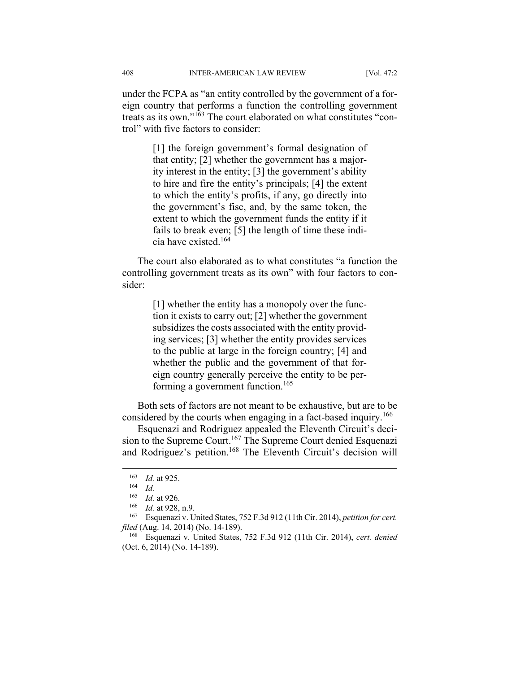under the FCPA as "an entity controlled by the government of a foreign country that performs a function the controlling government treats as its own."163 The court elaborated on what constitutes "control" with five factors to consider:

> [1] the foreign government's formal designation of that entity; [2] whether the government has a majority interest in the entity; [3] the government's ability to hire and fire the entity's principals; [4] the extent to which the entity's profits, if any, go directly into the government's fisc, and, by the same token, the extent to which the government funds the entity if it fails to break even; [5] the length of time these indicia have existed <sup>164</sup>

The court also elaborated as to what constitutes "a function the controlling government treats as its own" with four factors to consider:

> [1] whether the entity has a monopoly over the function it exists to carry out; [2] whether the government subsidizes the costs associated with the entity providing services; [3] whether the entity provides services to the public at large in the foreign country; [4] and whether the public and the government of that foreign country generally perceive the entity to be performing a government function.<sup>165</sup>

Both sets of factors are not meant to be exhaustive, but are to be considered by the courts when engaging in a fact-based inquiry.<sup>166</sup>

Esquenazi and Rodriguez appealed the Eleventh Circuit's decision to the Supreme Court.<sup>167</sup> The Supreme Court denied Esquenazi and Rodriguez's petition.<sup>168</sup> The Eleventh Circuit's decision will

1

<sup>163</sup> *Id.* at 925. 164 *Id.*

<sup>165</sup>*Id.* at 926.<br><sup>166</sup> *Id.* at 928, n.9.<br><sup>167</sup> Esquenazi v. United States, 752 F.3d 912 (11th Cir. 2014), *petition for cert. filed* (Aug. 14, 2014) (No. 14-189).<br><sup>168</sup> Esquenazi v. United States, 752 F.3d 912 (11th Cir. 2014), *cert. denied* 

<sup>(</sup>Oct. 6, 2014) (No. 14-189).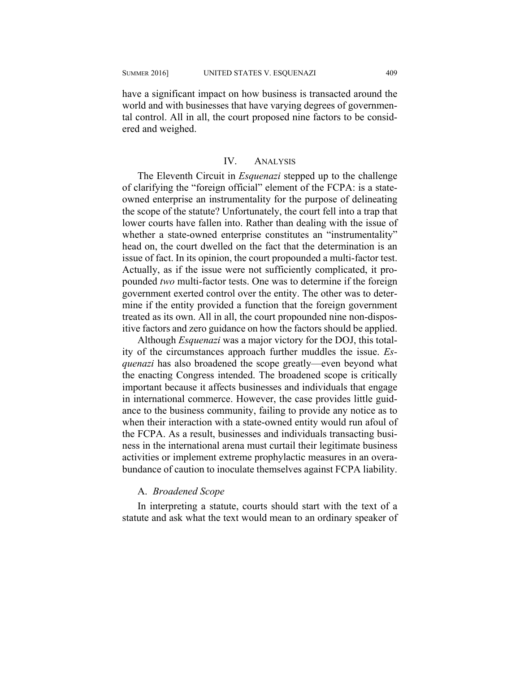have a significant impact on how business is transacted around the world and with businesses that have varying degrees of governmental control. All in all, the court proposed nine factors to be considered and weighed.

#### IV. ANALYSIS

The Eleventh Circuit in *Esquenazi* stepped up to the challenge of clarifying the "foreign official" element of the FCPA: is a stateowned enterprise an instrumentality for the purpose of delineating the scope of the statute? Unfortunately, the court fell into a trap that lower courts have fallen into. Rather than dealing with the issue of whether a state-owned enterprise constitutes an "instrumentality" head on, the court dwelled on the fact that the determination is an issue of fact. In its opinion, the court propounded a multi-factor test. Actually, as if the issue were not sufficiently complicated, it propounded *two* multi-factor tests. One was to determine if the foreign government exerted control over the entity. The other was to determine if the entity provided a function that the foreign government treated as its own. All in all, the court propounded nine non-dispositive factors and zero guidance on how the factors should be applied.

Although *Esquenazi* was a major victory for the DOJ, this totality of the circumstances approach further muddles the issue. *Esquenazi* has also broadened the scope greatly—even beyond what the enacting Congress intended. The broadened scope is critically important because it affects businesses and individuals that engage in international commerce. However, the case provides little guidance to the business community, failing to provide any notice as to when their interaction with a state-owned entity would run afoul of the FCPA. As a result, businesses and individuals transacting business in the international arena must curtail their legitimate business activities or implement extreme prophylactic measures in an overabundance of caution to inoculate themselves against FCPA liability.

#### A. *Broadened Scope*

In interpreting a statute, courts should start with the text of a statute and ask what the text would mean to an ordinary speaker of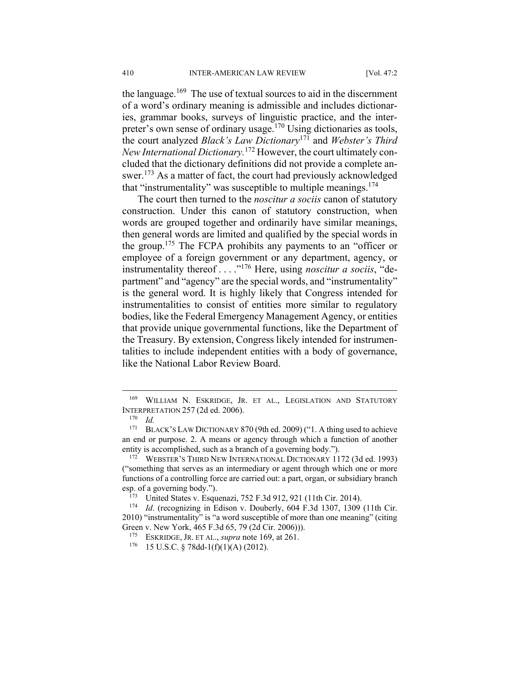the language.<sup>169</sup> The use of textual sources to aid in the discernment of a word's ordinary meaning is admissible and includes dictionaries, grammar books, surveys of linguistic practice, and the interpreter's own sense of ordinary usage.<sup>170</sup> Using dictionaries as tools, the court analyzed *Black's Law Dictionary*171 and *Webster's Third New International Dictionary.*<sup>172</sup> However, the court ultimately concluded that the dictionary definitions did not provide a complete answer.<sup>173</sup> As a matter of fact, the court had previously acknowledged that "instrumentality" was susceptible to multiple meanings.174

The court then turned to the *noscitur a sociis* canon of statutory construction. Under this canon of statutory construction, when words are grouped together and ordinarily have similar meanings, then general words are limited and qualified by the special words in the group.175 The FCPA prohibits any payments to an "officer or employee of a foreign government or any department, agency, or instrumentality thereof . . . ."176 Here, using *noscitur a sociis*, "department" and "agency" are the special words, and "instrumentality" is the general word. It is highly likely that Congress intended for instrumentalities to consist of entities more similar to regulatory bodies, like the Federal Emergency Management Agency, or entities that provide unique governmental functions, like the Department of the Treasury. By extension, Congress likely intended for instrumentalities to include independent entities with a body of governance, like the National Labor Review Board.

1

WILLIAM N. ESKRIDGE, JR. ET AL., LEGISLATION AND STATUTORY INTERPRETATION 257 (2d ed. 2006). 170 *Id.*

<sup>&</sup>lt;sup>171</sup> BLACK'S LAW DICTIONARY 870 (9th ed. 2009) ("1. A thing used to achieve an end or purpose. 2. A means or agency through which a function of another entity is accomplished, such as a branch of a governing body.").<br><sup>172</sup> WEBSTER'S THIRD NEW INTERNATIONAL DICTIONARY 1172 (3d ed. 1993)

<sup>(&</sup>quot;something that serves as an intermediary or agent through which one or more functions of a controlling force are carried out: a part, organ, or subsidiary branch

esp. of a governing body.").<br><sup>173</sup> United States v. Esquenazi, 752 F.3d 912, 921 (11th Cir. 2014).<br><sup>174</sup> *Id.* (recognizing in Edison v. Douberly, 604 F.3d 1307, 1309 (11th Cir. 2010) "instrumentality" is "a word susceptible of more than one meaning" (citing Green v. New York, 465 F.3d 65, 79 (2d Cir. 2006))).<br><sup>175</sup> ESKRIDGE, JR. ET AL., *supra* note 169, at 261.<br><sup>176</sup> 15 U.S.C. § 78dd-1(f)(1)(A) (2012).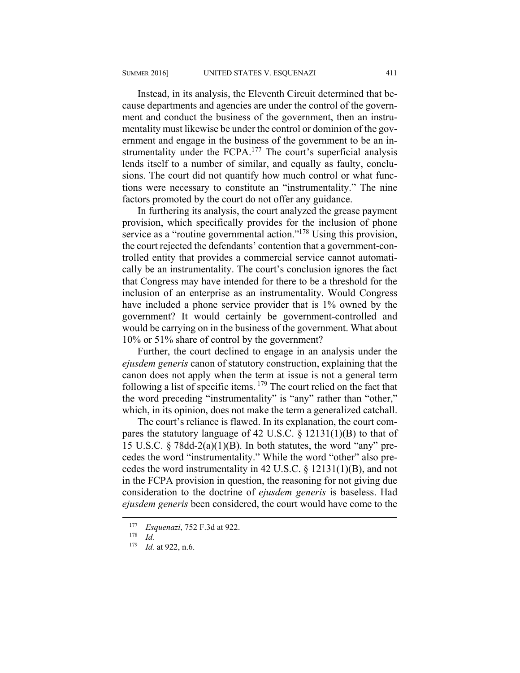Instead, in its analysis, the Eleventh Circuit determined that because departments and agencies are under the control of the government and conduct the business of the government, then an instrumentality must likewise be under the control or dominion of the government and engage in the business of the government to be an instrumentality under the FCPA.<sup>177</sup> The court's superficial analysis lends itself to a number of similar, and equally as faulty, conclusions. The court did not quantify how much control or what functions were necessary to constitute an "instrumentality." The nine factors promoted by the court do not offer any guidance.

In furthering its analysis, the court analyzed the grease payment provision, which specifically provides for the inclusion of phone service as a "routine governmental action."<sup>178</sup> Using this provision, the court rejected the defendants' contention that a government-controlled entity that provides a commercial service cannot automatically be an instrumentality. The court's conclusion ignores the fact that Congress may have intended for there to be a threshold for the inclusion of an enterprise as an instrumentality. Would Congress have included a phone service provider that is 1% owned by the government? It would certainly be government-controlled and would be carrying on in the business of the government. What about 10% or 51% share of control by the government?

Further, the court declined to engage in an analysis under the *ejusdem generis* canon of statutory construction, explaining that the canon does not apply when the term at issue is not a general term following a list of specific items.  $179$  The court relied on the fact that the word preceding "instrumentality" is "any" rather than "other," which, in its opinion, does not make the term a generalized catchall.

The court's reliance is flawed. In its explanation, the court compares the statutory language of 42 U.S.C. § 12131(1)(B) to that of 15 U.S.C. § 78dd-2(a)(1)(B). In both statutes, the word "any" precedes the word "instrumentality." While the word "other" also precedes the word instrumentality in 42 U.S.C. § 12131(1)(B), and not in the FCPA provision in question, the reasoning for not giving due consideration to the doctrine of *ejusdem generis* is baseless. Had *ejusdem generis* been considered, the court would have come to the

<sup>177</sup> *Esquenazi*, 752 F.3d at 922. 178 *Id.*

*Id.* at 922, n.6.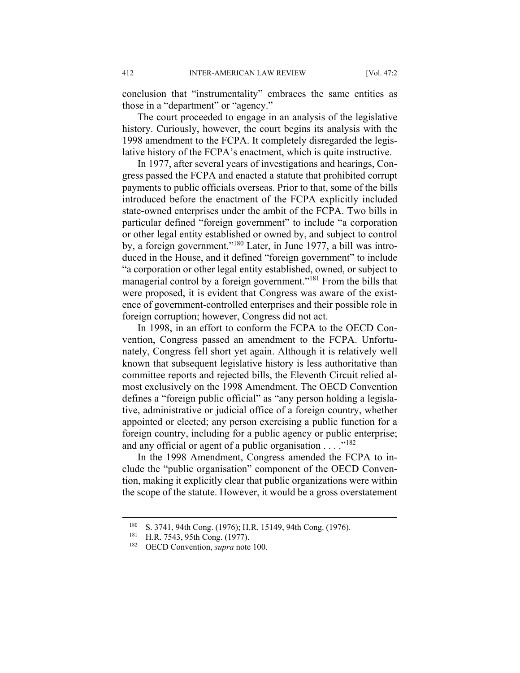conclusion that "instrumentality" embraces the same entities as those in a "department" or "agency."

The court proceeded to engage in an analysis of the legislative history. Curiously, however, the court begins its analysis with the 1998 amendment to the FCPA. It completely disregarded the legislative history of the FCPA's enactment, which is quite instructive.

In 1977, after several years of investigations and hearings, Congress passed the FCPA and enacted a statute that prohibited corrupt payments to public officials overseas. Prior to that, some of the bills introduced before the enactment of the FCPA explicitly included state-owned enterprises under the ambit of the FCPA. Two bills in particular defined "foreign government" to include "a corporation or other legal entity established or owned by, and subject to control by, a foreign government."180 Later, in June 1977, a bill was introduced in the House, and it defined "foreign government" to include "a corporation or other legal entity established, owned, or subject to managerial control by a foreign government."181 From the bills that were proposed, it is evident that Congress was aware of the existence of government-controlled enterprises and their possible role in foreign corruption; however, Congress did not act.

In 1998, in an effort to conform the FCPA to the OECD Convention, Congress passed an amendment to the FCPA. Unfortunately, Congress fell short yet again. Although it is relatively well known that subsequent legislative history is less authoritative than committee reports and rejected bills, the Eleventh Circuit relied almost exclusively on the 1998 Amendment. The OECD Convention defines a "foreign public official" as "any person holding a legislative, administrative or judicial office of a foreign country, whether appointed or elected; any person exercising a public function for a foreign country, including for a public agency or public enterprise; and any official or agent of a public organisation . . . . "<sup>182</sup>

In the 1998 Amendment, Congress amended the FCPA to include the "public organisation" component of the OECD Convention, making it explicitly clear that public organizations were within the scope of the statute. However, it would be a gross overstatement

<sup>180</sup> S. 3741, 94th Cong. (1976); H.R. 15149, 94th Cong. (1976). 181 H.R. 7543, 95th Cong. (1977). 182 OECD Convention, *supra* note 100.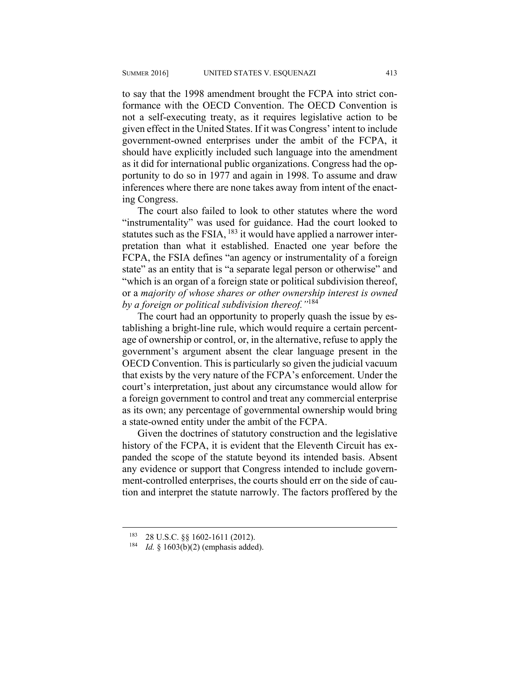to say that the 1998 amendment brought the FCPA into strict conformance with the OECD Convention. The OECD Convention is not a self-executing treaty, as it requires legislative action to be given effect in the United States. If it was Congress' intent to include government-owned enterprises under the ambit of the FCPA, it should have explicitly included such language into the amendment as it did for international public organizations. Congress had the opportunity to do so in 1977 and again in 1998. To assume and draw inferences where there are none takes away from intent of the enacting Congress.

The court also failed to look to other statutes where the word "instrumentality" was used for guidance. Had the court looked to statutes such as the FSIA, <sup>183</sup> it would have applied a narrower interpretation than what it established. Enacted one year before the FCPA, the FSIA defines "an agency or instrumentality of a foreign state" as an entity that is "a separate legal person or otherwise" and "which is an organ of a foreign state or political subdivision thereof, or a *majority of whose shares or other ownership interest is owned by a foreign or political subdivision thereof."*<sup>184</sup>

The court had an opportunity to properly quash the issue by establishing a bright-line rule, which would require a certain percentage of ownership or control, or, in the alternative, refuse to apply the government's argument absent the clear language present in the OECD Convention. This is particularly so given the judicial vacuum that exists by the very nature of the FCPA's enforcement. Under the court's interpretation, just about any circumstance would allow for a foreign government to control and treat any commercial enterprise as its own; any percentage of governmental ownership would bring a state-owned entity under the ambit of the FCPA.

Given the doctrines of statutory construction and the legislative history of the FCPA, it is evident that the Eleventh Circuit has expanded the scope of the statute beyond its intended basis. Absent any evidence or support that Congress intended to include government-controlled enterprises, the courts should err on the side of caution and interpret the statute narrowly. The factors proffered by the

<sup>183 28</sup> U.S.C. §§ 1602-1611 (2012). 184 *Id.* § 1603(b)(2) (emphasis added).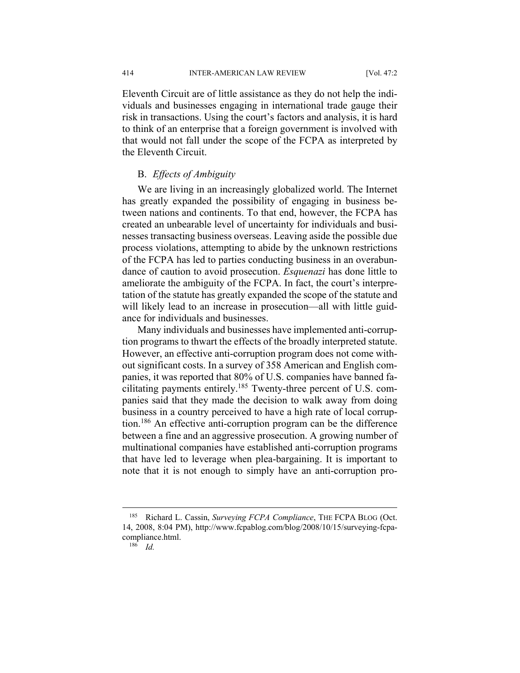414 INTER-AMERICAN LAW REVIEW [Vol. 47:2

Eleventh Circuit are of little assistance as they do not help the individuals and businesses engaging in international trade gauge their risk in transactions. Using the court's factors and analysis, it is hard to think of an enterprise that a foreign government is involved with that would not fall under the scope of the FCPA as interpreted by the Eleventh Circuit.

#### B. *Effects of Ambiguity*

We are living in an increasingly globalized world. The Internet has greatly expanded the possibility of engaging in business between nations and continents. To that end, however, the FCPA has created an unbearable level of uncertainty for individuals and businesses transacting business overseas. Leaving aside the possible due process violations, attempting to abide by the unknown restrictions of the FCPA has led to parties conducting business in an overabundance of caution to avoid prosecution. *Esquenazi* has done little to ameliorate the ambiguity of the FCPA. In fact, the court's interpretation of the statute has greatly expanded the scope of the statute and will likely lead to an increase in prosecution—all with little guidance for individuals and businesses.

Many individuals and businesses have implemented anti-corruption programs to thwart the effects of the broadly interpreted statute. However, an effective anti-corruption program does not come without significant costs. In a survey of 358 American and English companies, it was reported that 80% of U.S. companies have banned facilitating payments entirely.<sup>185</sup> Twenty-three percent of U.S. companies said that they made the decision to walk away from doing business in a country perceived to have a high rate of local corruption.186 An effective anti-corruption program can be the difference between a fine and an aggressive prosecution. A growing number of multinational companies have established anti-corruption programs that have led to leverage when plea-bargaining. It is important to note that it is not enough to simply have an anti-corruption pro-

<sup>185</sup> Richard L. Cassin, *Surveying FCPA Compliance*, THE FCPA BLOG (Oct. 14, 2008, 8:04 PM), http://www.fcpablog.com/blog/2008/10/15/surveying-fcpacompliance.html. 186 *Id.*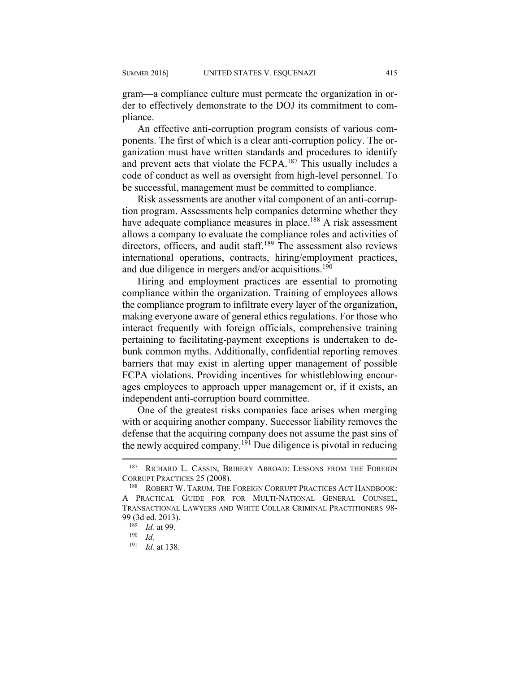gram—a compliance culture must permeate the organization in order to effectively demonstrate to the DOJ its commitment to compliance.

An effective anti-corruption program consists of various components. The first of which is a clear anti-corruption policy. The organization must have written standards and procedures to identify and prevent acts that violate the FCPA.<sup>187</sup> This usually includes a code of conduct as well as oversight from high-level personnel. To be successful, management must be committed to compliance.

Risk assessments are another vital component of an anti-corruption program. Assessments help companies determine whether they have adequate compliance measures in place.<sup>188</sup> A risk assessment allows a company to evaluate the compliance roles and activities of directors, officers, and audit staff.<sup>189</sup> The assessment also reviews international operations, contracts, hiring/employment practices, and due diligence in mergers and/or acquisitions.<sup>190</sup>

Hiring and employment practices are essential to promoting compliance within the organization. Training of employees allows the compliance program to infiltrate every layer of the organization, making everyone aware of general ethics regulations. For those who interact frequently with foreign officials, comprehensive training pertaining to facilitating-payment exceptions is undertaken to debunk common myths. Additionally, confidential reporting removes barriers that may exist in alerting upper management of possible FCPA violations. Providing incentives for whistleblowing encourages employees to approach upper management or, if it exists, an independent anti-corruption board committee.

One of the greatest risks companies face arises when merging with or acquiring another company. Successor liability removes the defense that the acquiring company does not assume the past sins of the newly acquired company.<sup>191</sup> Due diligence is pivotal in reducing

<sup>&</sup>lt;sup>187</sup> RICHARD L. CASSIN, BRIBERY ABROAD: LESSONS FROM THE FOREIGN CORRUPT PRACTICES 25 (2008).<br><sup>188</sup> ROBERT W. TARUM, THE FOREIGN CORRUPT PRACTICES ACT HANDBOOK:

A PRACTICAL GUIDE FOR FOR MULTI-NATIONAL GENERAL COUNSEL, TRANSACTIONAL LAWYERS AND WHITE COLLAR CRIMINAL PRACTITIONERS 98- 99 (3d ed. 2013). 189 *Id.* at 99. 190 *Id.*

<sup>191</sup> *Id.* at 138.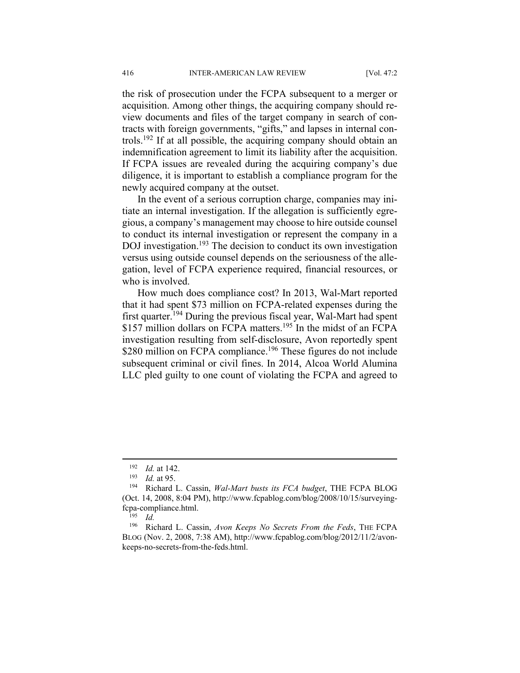the risk of prosecution under the FCPA subsequent to a merger or acquisition. Among other things, the acquiring company should review documents and files of the target company in search of contracts with foreign governments, "gifts," and lapses in internal controls.192 If at all possible, the acquiring company should obtain an indemnification agreement to limit its liability after the acquisition. If FCPA issues are revealed during the acquiring company's due diligence, it is important to establish a compliance program for the newly acquired company at the outset.

In the event of a serious corruption charge, companies may initiate an internal investigation. If the allegation is sufficiently egregious, a company's management may choose to hire outside counsel to conduct its internal investigation or represent the company in a DOJ investigation.<sup>193</sup> The decision to conduct its own investigation versus using outside counsel depends on the seriousness of the allegation, level of FCPA experience required, financial resources, or who is involved.

How much does compliance cost? In 2013, Wal-Mart reported that it had spent \$73 million on FCPA-related expenses during the first quarter.194 During the previous fiscal year, Wal-Mart had spent \$157 million dollars on FCPA matters.<sup>195</sup> In the midst of an FCPA investigation resulting from self-disclosure, Avon reportedly spent \$280 million on FCPA compliance.<sup>196</sup> These figures do not include subsequent criminal or civil fines. In 2014, Alcoa World Alumina LLC pled guilty to one count of violating the FCPA and agreed to

<sup>192</sup> *Id.* at 142.<br>
193 *Id.* at 95.<br>
194 Richard L. Cassin, *Wal-Mart busts its FCA budget*, THE FCPA BLOG (Oct. 14, 2008, 8:04 PM), http://www.fcpablog.com/blog/2008/10/15/surveyingfcpa-compliance.html. 195 *Id.* 

<sup>196</sup> Richard L. Cassin, *Avon Keeps No Secrets From the Feds*, THE FCPA BLOG (Nov. 2, 2008, 7:38 AM), http://www.fcpablog.com/blog/2012/11/2/avonkeeps-no-secrets-from-the-feds.html.